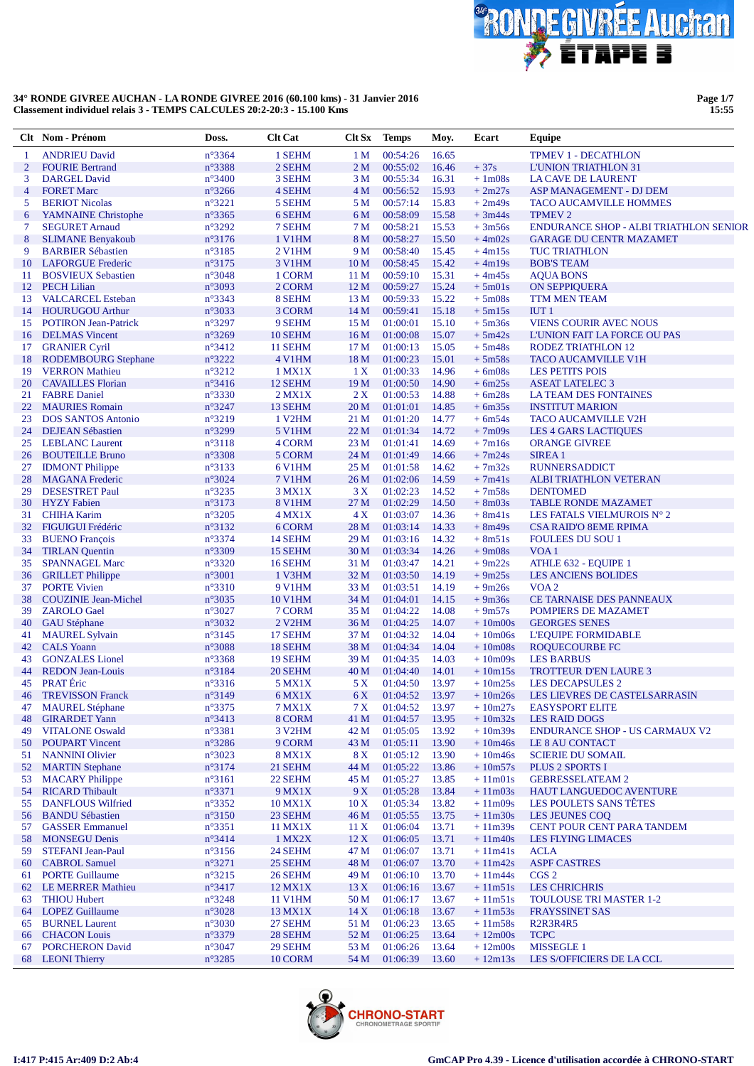

**Page 1/7 15:55**

|                | Clt Nom - Prénom                                      | Doss.                              | <b>Clt</b> Cat      | Clt Sx                  | <b>Temps</b>         | Moy.           | Ecart                  | Equipe                                                        |
|----------------|-------------------------------------------------------|------------------------------------|---------------------|-------------------------|----------------------|----------------|------------------------|---------------------------------------------------------------|
| 1              | <b>ANDRIEU David</b>                                  | n°3364                             | 1 SEHM              | 1 <sub>M</sub>          | 00:54:26             | 16.65          |                        | <b>TPMEV 1 - DECATHLON</b>                                    |
| $\overline{2}$ | <b>FOURIE Bertrand</b>                                | n°3388                             | 2 SEHM              | 2 <sub>M</sub>          | 00:55:02             | 16.46          | $+37s$                 | <b>L'UNION TRIATHLON 31</b>                                   |
| 3              | <b>DARGEL David</b>                                   | $n^{\circ}3400$                    | 3 SEHM              | 3 M                     | 00:55:34             | 16.31          | $+1m08s$               | <b>LA CAVE DE LAURENT</b>                                     |
| $\overline{4}$ | <b>FORET Marc</b>                                     | $n^{\circ}3266$                    | 4 SEHM              | 4 M                     | 00:56:52             | 15.93          | $+2m27s$               | ASP MANAGEMENT - DJ DEM                                       |
| 5              | <b>BERIOT Nicolas</b>                                 | $n^{\circ}3221$                    | 5 SEHM              | 5 M                     | 00:57:14             | 15.83          | $+2m49s$               | <b>TACO AUCAMVILLE HOMMES</b>                                 |
| 6              | <b>YAMNAINE Christophe</b>                            | n°3365                             | 6 SEHM              | 6 M                     | 00:58:09             | 15.58          | $+3m44s$               | <b>TPMEV 2</b>                                                |
| 7              | <b>SEGURET Arnaud</b>                                 | n°3292                             | 7 SEHM              | 7 M                     | 00:58:21             | 15.53          | $+3m56s$               | <b>ENDURANCE SHOP - ALBI TRIATHLON SENIOR</b>                 |
| 8              | <b>SLIMANE Benyakoub</b>                              | n°3176                             | 1 V1HM              | 8 M                     | 00:58:27             | 15.50          | $+4m02s$               | <b>GARAGE DU CENTR MAZAMET</b>                                |
| 9              | <b>BARBIER Sébastien</b>                              | $n^{\circ}3185$<br>n°3175          | <b>2 V1HM</b>       | 9 M                     | 00:58:40<br>00:58:45 | 15.45<br>15.42 | $+4m15s$               | <b>TUC TRIATHLON</b>                                          |
| 10<br>11       | <b>LAFORGUE Frederic</b><br><b>BOSVIEUX Sebastien</b> | $n^{\circ}3048$                    | 3 V1HM<br>1 CORM    | 10 <sub>M</sub><br>11 M | 00:59:10             | 15.31          | $+4m19s$<br>$+4m45s$   | <b>BOB'S TEAM</b><br><b>AQUA BONS</b>                         |
| 12             | <b>PECH Lilian</b>                                    | n°3093                             | 2 CORM              | 12 <sub>M</sub>         | 00:59:27             | 15.24          | $+5m01s$               | <b>ON SEPPIQUERA</b>                                          |
| 13             | <b>VALCARCEL Esteban</b>                              | $n^{\circ}3343$                    | 8 SEHM              | 13 <sub>M</sub>         | 00:59:33             | 15.22          | $+5m08s$               | <b>TTM MEN TEAM</b>                                           |
| 14             | <b>HOURUGOU Arthur</b>                                | $n^{\circ}3033$                    | 3 CORM              | 14 <sub>M</sub>         | 00:59:41             | 15.18          | $+5m15s$               | IUT1                                                          |
| 15             | <b>POTIRON Jean-Patrick</b>                           | $n^{\circ}3297$                    | 9 SEHM              | 15 <sub>M</sub>         | 01:00:01             | 15.10          | $+5m36s$               | <b>VIENS COURIR AVEC NOUS</b>                                 |
| 16             | <b>DELMAS</b> Vincent                                 | n°3269                             | 10 SEHM             | 16 <sub>M</sub>         | 01:00:08             | 15.07          | $+5m42s$               | L'UNION FAIT LA FORCE OU PAS                                  |
| 17             | <b>GRANIER Cyril</b>                                  | $n^{\circ}3412$                    | 11 SEHM             | 17 <sub>M</sub>         | 01:00:13             | 15.05          | $+5m48s$               | <b>RODEZ TRIATHLON 12</b>                                     |
| 18             | <b>RODEMBOURG</b> Stephane                            | n°3222                             | 4 V1HM              | 18 <sub>M</sub>         | 01:00:23             | 15.01          | $+5m58s$               | <b>TACO AUCAMVILLE V1H</b>                                    |
| 19             | <b>VERRON</b> Mathieu                                 | $n^{\circ}3212$                    | 1 MX1X              | 1 X                     | 01:00:33             | 14.96          | $+6m08s$               | <b>LES PETITS POIS</b>                                        |
| 20             | <b>CAVAILLES</b> Florian                              | $n^{\circ}3416$                    | 12 SEHM             | 19 <sub>M</sub>         | 01:00:50             | 14.90          | $+6m25s$               | <b>ASEAT LATELEC 3</b>                                        |
| 21             | <b>FABRE Daniel</b>                                   | n°3330                             | $2$ MX1X            | 2X                      | 01:00:53             | 14.88          | $+6m28s$               | <b>LA TEAM DES FONTAINES</b>                                  |
| 22             | <b>MAURIES Romain</b>                                 | n°3247                             | 13 SEHM             | 20 M                    | 01:01:01             | 14.85          | $+6m35s$               | <b>INSTITUT MARION</b>                                        |
| 23             | <b>DOS SANTOS Antonio</b>                             | $n^{\circ}3219$                    | 1 V <sub>2</sub> HM | 21 M                    | 01:01:20             | 14.77          | $+6m54s$               | <b>TACO AUCAMVILLE V2H</b>                                    |
| 24             | <b>DEJEAN Sébastien</b>                               | n°3299                             | <b>5 V1HM</b>       | 22 M                    | 01:01:34             | 14.72          | $+7m09s$               | <b>LES 4 GARS LACTIQUES</b>                                   |
| 25             | <b>LEBLANC</b> Laurent                                | $n^{\circ}3118$                    | 4 CORM              | 23 M                    | 01:01:41             | 14.69          | $+7m16s$               | <b>ORANGE GIVREE</b>                                          |
| 26             | <b>BOUTEILLE Bruno</b>                                | n°3308                             | 5 CORM              | 24 M                    | 01:01:49             | 14.66          | $+7m24s$               | <b>SIREA1</b>                                                 |
| 27             | <b>IDMONT</b> Philippe                                | n°3133                             | <b>6 V1HM</b>       | 25 M                    | 01:01:58             | 14.62          | $+7m32s$               | <b>RUNNERSADDICT</b>                                          |
| 28             | <b>MAGANA</b> Frederic                                | n°3024                             | <b>7 V1HM</b>       | 26 M                    | 01:02:06             | 14.59          | $+7m41s$               | <b>ALBI TRIATHLON VETERAN</b>                                 |
| 29             | <b>DESESTRET Paul</b>                                 | n°3235                             | $3$ MX $1X$         | 3X                      | 01:02:23             | 14.52          | $+7m58s$               | <b>DENTOMED</b>                                               |
| 30<br>31       | <b>HYZY</b> Fabien<br><b>CHIHA Karim</b>              | n°3173<br>n°3205                   | <b>8 V1HM</b>       | 27 M<br>4X              | 01:02:29<br>01:03:07 | 14.50<br>14.36 | $+8m03s$<br>$+8m41s$   | <b>TABLE RONDE MAZAMET</b>                                    |
| 32             | <b>FIGUIGUI Frédéric</b>                              | n°3132                             | $4$ MX1X<br>6 CORM  | 28 M                    | 01:03:14             | 14.33          | $+8m49s$               | LES FATALS VIELMUROIS N° 2<br><b>CSA RAID'O 8EME RPIMA</b>    |
| 33             | <b>BUENO</b> François                                 | $n^{\circ}3374$                    | 14 SEHM             | 29 M                    | 01:03:16             | 14.32          | $+8m51s$               | <b>FOULEES DU SOU 1</b>                                       |
| 34             | <b>TIRLAN</b> Quentin                                 | n°3309                             | 15 SEHM             | 30 M                    | 01:03:34             | 14.26          | $+9m08s$               | VOA <sub>1</sub>                                              |
| 35             | <b>SPANNAGEL Marc</b>                                 | $n^{\circ}3320$                    | 16 SEHM             | 31 M                    | 01:03:47             | 14.21          | $+9m22s$               | ATHLE 632 - EQUIPE 1                                          |
| 36             | <b>GRILLET</b> Philippe                               | $n^{\circ}3001$                    | 1 V3HM              | 32 M                    | 01:03:50             | 14.19          | $+9m25s$               | <b>LES ANCIENS BOLIDES</b>                                    |
| 37             | <b>PORTE Vivien</b>                                   | $n^{\circ}3310$                    | <b>9 V1HM</b>       | 33 M                    | 01:03:51             | 14.19          | $+9m26s$               | VOA <sub>2</sub>                                              |
| 38             | <b>COUZINIE Jean-Michel</b>                           | n°3035                             | <b>10 V1HM</b>      | 34 M                    | 01:04:01             | 14.15          | $+9m36s$               | <b>CE TARNAISE DES PANNEAUX</b>                               |
| 39             | <b>ZAROLO</b> Gael                                    | $n^{\circ}3027$                    | 7 CORM              | 35 M                    | 01:04:22             | 14.08          | $+9m57s$               | POMPIERS DE MAZAMET                                           |
| 40             | <b>GAU Stéphane</b>                                   | n°3032                             | 2 V <sub>2</sub> HM | 36 M                    | 01:04:25             | 14.07          | $+10m00s$              | <b>GEORGES SENES</b>                                          |
| 41             | <b>MAUREL Sylvain</b>                                 | n°3145                             | 17 SEHM             | 37 M                    | 01:04:32             | 14.04          | $+10m06s$              | <b>L'EQUIPE FORMIDABLE</b>                                    |
| 42             | <b>CALS</b> Yoann                                     | $n^{\circ}3088$                    | 18 SEHM             | 38 M                    | 01:04:34             | 14.04          | $+10m08s$              | <b>ROQUECOURBE FC</b>                                         |
| 43             | <b>GONZALES</b> Lionel                                | $n^{\circ}3368$                    | 19 SEHM             | 39 M                    | 01:04:35             | 14.03          | $+10m09s$              | <b>LES BARBUS</b>                                             |
| 44             | <b>REDON Jean-Louis</b>                               | n°3184                             | 20 SEHM             | 40 M                    | 01:04:40             | 14.01          | $+10m15s$              | <b>TROTTEUR D'EN LAURE 3</b>                                  |
| 45             | <b>PRAT</b> Éric                                      | $n^{\circ}3316$                    | 5 MX1X              | 5 X                     | 01:04:50             | 13.97          | $+10m25s$              | <b>LES DECAPSULES 2</b>                                       |
|                | 46 TREVISSON Franck                                   | $n^{\circ}3149$                    | 6 MX1X              | 6 X                     | 01:04:52             | 13.97          |                        | +10m26s LES LIEVRES DE CASTELSARRASIN                         |
| 47             | <b>MAUREL Stéphane</b>                                | $n^{\circ}3375$                    | 7 MX1X              | 7 X                     | 01:04:52             | 13.97          | $+10m27s$<br>$+10m32s$ | <b>EASYSPORT ELITE</b>                                        |
| 48             | <b>GIRARDET Yann</b><br><b>VITALONE Oswald</b>        | $n^{\circ}3413$<br>$n^{\circ}3381$ | 8 CORM<br>3 V2HM    | 41 M<br>42 M            | 01:04:57<br>01:05:05 | 13.95<br>13.92 | $+10m39s$              | <b>LES RAID DOGS</b><br><b>ENDURANCE SHOP - US CARMAUX V2</b> |
| 49<br>50       | <b>POUPART Vincent</b>                                | $n^{\circ}3286$                    | 9 CORM              | 43 M                    | 01:05:11             | 13.90          | $+10m46s$              | LE 8 AU CONTACT                                               |
| 51             | <b>NANNINI</b> Olivier                                | $n^{\circ}3023$                    | <b>8 MX1X</b>       | 8X                      | 01:05:12             | 13.90          | $+10m46s$              | <b>SCIERIE DU SOMAIL</b>                                      |
| 52             | <b>MARTIN</b> Stephane                                | n°3174                             | 21 SEHM             | 44 M                    | 01:05:22             | 13.86          | $+10m57s$              | <b>PLUS 2 SPORTS I</b>                                        |
| 53             | <b>MACARY Philippe</b>                                | $n^{\circ}3161$                    | 22 SEHM             | 45 M                    | 01:05:27             | 13.85          | $+11m01s$              | <b>GEBRESSELATEAM 2</b>                                       |
| 54             | <b>RICARD Thibault</b>                                | $n^{\circ}3371$                    | 9 MX1X              | 9 X                     | 01:05:28             | 13.84          | $+11m03s$              | <b>HAUT LANGUEDOC AVENTURE</b>                                |
| 55             | <b>DANFLOUS Wilfried</b>                              | $n^{\circ}3352$                    | 10 MX1X             | 10 X                    | 01:05:34             | 13.82          | $+11m09s$              | LES POULETS SANS TÊTES                                        |
| 56             | <b>BANDU Sébastien</b>                                | $n^{\circ}3150$                    | 23 SEHM             | 46 M                    | 01:05:55             | 13.75          | $+11m30s$              | LES JEUNES COQ                                                |
| 57             | <b>GASSER Emmanuel</b>                                | $n^{\circ}3351$                    | 11 MX1X             | 11 X                    | 01:06:04             | 13.71          | $+11m39s$              | <b>CENT POUR CENT PARA TANDEM</b>                             |
| 58             | <b>MONSEGU Denis</b>                                  | n°3414                             | 1 MX2X              | 12X                     | 01:06:05             | 13.71          | $+11m40s$              | <b>LES FLYING LIMACES</b>                                     |
| 59             | <b>STEFANI</b> Jean-Paul                              | $n^{\circ}3156$                    | 24 SEHM             | 47 M                    | 01:06:07             | 13.71          | $+11m41s$              | <b>ACLA</b>                                                   |
| 60             | <b>CABROL Samuel</b>                                  | $n^{\circ}3271$                    | 25 SEHM             | 48 M                    | 01:06:07             | 13.70          | $+11m42s$              | <b>ASPF CASTRES</b>                                           |
| 61             | <b>PORTE Guillaume</b>                                | $n^{\circ}3215$                    | 26 SEHM             | 49 M                    | 01:06:10             | 13.70          | $+11m44s$              | CGS <sub>2</sub>                                              |
| 62             | <b>LE MERRER Mathieu</b>                              | n°3417                             | 12 MX1X             | 13X                     | 01:06:16             | 13.67          | $+11m51s$              | <b>LES CHRICHRIS</b>                                          |
| 63             | <b>THIOU Hubert</b>                                   | $n^{\circ}3248$                    | 11 V1HM             | 50 M                    | 01:06:17             | 13.67          | $+11m51s$              | <b>TOULOUSE TRI MASTER 1-2</b>                                |
|                | 64 LOPEZ Guillaume                                    | $n^{\circ}3028$                    | 13 MX1X             | 14X                     | 01:06:18             | 13.67          | $+11m53s$              | <b>FRAYSSINET SAS</b>                                         |
| 65             | <b>BURNEL Laurent</b>                                 | $n^{\circ}3030$                    | 27 SEHM             | 51 M                    | 01:06:23             | 13.65          | $+11m58s$              | R <sub>2</sub> R <sub>3</sub> R <sub>4</sub> R <sub>5</sub>   |
| 66             | <b>CHACON</b> Louis                                   | n°3379                             | 28 SEHM             | 52 M                    | 01:06:25             | 13.64          | $+12m00s$              | <b>TCPC</b>                                                   |
| 67             | <b>PORCHERON David</b>                                | $n^{\circ}3047$                    | 29 SEHM             | 53 M                    | 01:06:26             | 13.64          | $+12m00s$              | <b>MISSEGLE 1</b>                                             |
|                | 68 LEONI Thierry                                      | $n^{\circ}3285$                    | 10 CORM             | 54 M                    | 01:06:39             | 13.60          | $+12m13s$              | LES S/OFFICIERS DE LA CCL                                     |

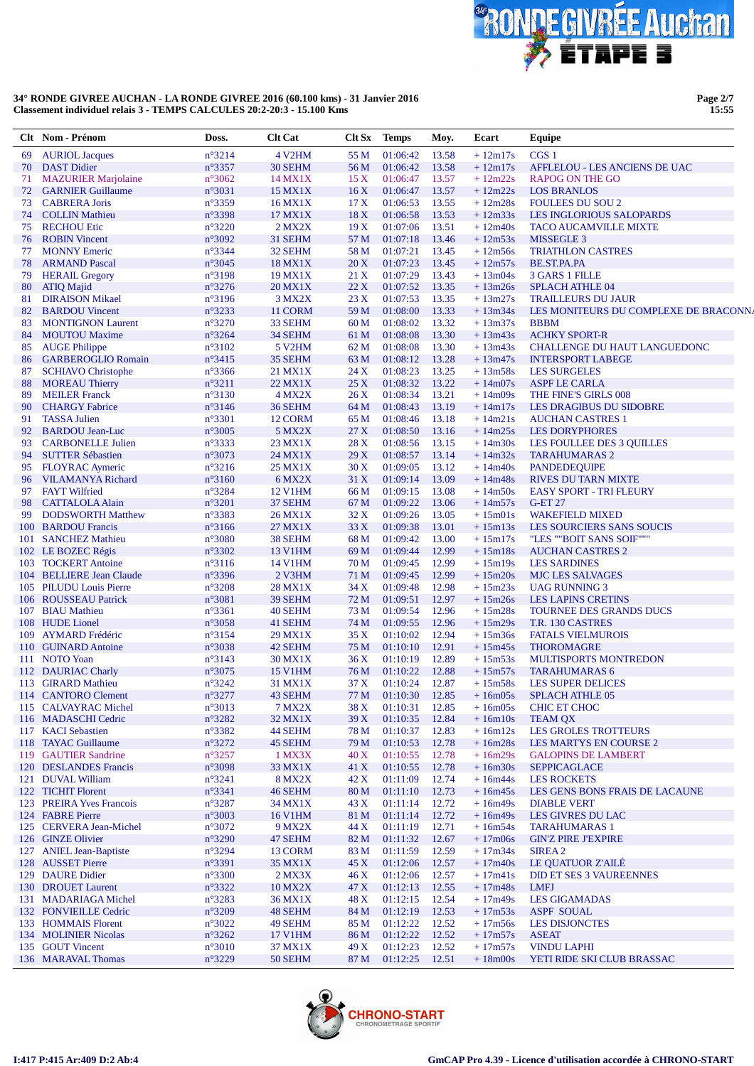

**Page 2/7 15:55**

| n°3214<br>4 V <sub>2</sub> HM<br>55 M<br>01:06:42<br>13.58<br>CGS <sub>1</sub><br><b>AURIOL Jacques</b><br>$+12m17s$<br>69<br><b>DAST Didier</b><br>n°3357<br>30 SEHM<br>56 M<br>01:06:42<br>13.58<br>$+12m17s$<br><b>AFFLELOU - LES ANCIENS DE UAC</b><br>70<br><b>MAZURIER Marjolaine</b><br>$n^{\circ}3062$<br>01:06:47<br>13.57<br>$+12m22s$<br>14 MX1X<br>15X<br><b>RAPOG ON THE GO</b><br>71<br><b>GARNIER Guillaume</b><br>n°3031<br>13.57<br>72<br>15 MX1X<br>16X<br>01:06:47<br>$+12m22s$<br><b>LOS BRANLOS</b><br>n°3359<br>73<br><b>CABRERA Joris</b><br>17 <sub>X</sub><br>01:06:53<br>13.55<br>$+12m28s$<br><b>FOULEES DU SOU 2</b><br>16 MX1X<br>n°3398<br>18X<br>13.53<br><b>COLLIN Mathieu</b><br>17 MX1X<br>01:06:58<br>$+12m33s$<br><b>LES INGLORIOUS SALOPARDS</b><br>74<br><b>RECHOU Etic</b><br>n°3220<br>$2$ MX $2X$<br>19X<br>01:07:06<br>13.51<br>75<br>$+12m40s$<br><b>TACO AUCAMVILLE MIXTE</b><br>n°3092<br>31 SEHM<br>57 M<br>01:07:18<br>13.46<br><b>ROBIN Vincent</b><br>$+12m53s$<br>MISSEGLE 3<br>76<br>n°3344<br>58 M<br>13.45<br><b>MONNY Emeric</b><br>32 SEHM<br>01:07:21<br>$+12m56s$<br><b>TRIATHLON CASTRES</b><br>77<br>n°3045<br>20X<br>01:07:23<br>13.45<br>78<br><b>ARMAND Pascal</b><br>18 MX1X<br>$+12m57s$<br>BE.ST.PA.PA<br>n°3198<br>13.43<br>79<br><b>HERAIL Gregory</b><br>21 X<br>01:07:29<br>$+13m04s$<br>3 GARS 1 FILLE<br>19 MX1X<br>n°3276<br>13.35<br>80<br><b>ATIQ Majid</b><br>20 MX1X<br>22X<br>01:07:52<br>$+13m26s$<br><b>SPLACH ATHLE 04</b><br><b>DIRAISON Mikael</b><br>n°3196<br>3 MX2X<br>23X<br>01:07:53<br>13.35<br><b>TRAILLEURS DU JAUR</b><br>81<br>$+13m27s$<br>n°3233<br>59 M<br>01:08:00<br>13.33<br>$+13m34s$<br>82<br><b>BARDOU</b> Vincent<br>11 CORM<br>LES MONITEURS DU COMPLEXE DE BRACONNA<br>60 M<br>01:08:02<br>13.32<br>83<br><b>MONTIGNON Laurent</b><br>$n^{\circ}3270$<br>33 SEHM<br>$+13m37s$<br><b>BBBM</b><br>n°3264<br>13.30<br>84<br><b>MOUTOU</b> Maxime<br>34 SEHM<br>61 M<br>01:08:08<br>$+13m43s$<br><b>ACHKY SPORT-R</b><br><b>AUGE Philippe</b><br>$n^{\circ}3102$<br>01:08:08<br>13.30<br>85<br>5 V <sub>2</sub> HM<br>62 M<br>$+13m43s$<br>CHALLENGE DU HAUT LANGUEDONC<br>$n^{\circ}3415$<br>13.28<br><b>GARBEROGLIO Romain</b><br>35 SEHM<br>63 M<br>01:08:12<br>$+13m47s$<br><b>INTERSPORT LABEGE</b><br>86<br>n°3366<br>01:08:23<br>13.25<br>$+13m58s$<br>87<br><b>SCHIAVO Christophe</b><br>21 MX1X<br>24 X<br><b>LES SURGELES</b><br>$n^{\circ}3211$<br>25X<br>01:08:32<br>13.22<br><b>MOREAU Thierry</b><br>22 MX1X<br>$+14m07s$<br><b>ASPF LE CARLA</b><br>88<br><b>MEILER Franck</b><br>n°3130<br>26X<br>01:08:34<br>13.21<br>$+14m09s$<br>89<br>4 MX2X<br>THE FINE'S GIRLS 008<br>n°3146<br>01:08:43<br>13.19<br>90<br><b>CHARGY Fabrice</b><br>36 SEHM<br>64 M<br>$+14m17s$<br><b>LES DRAGIBUS DU SIDOBRE</b><br>n°3301<br>13.18<br>91<br><b>TASSA Julien</b><br>65 M<br>01:08:46<br>$+14m21s$<br><b>AUCHAN CASTRES 1</b><br>12 CORM<br>$n^{\circ}3005$<br>92<br><b>BARDOU Jean-Luc</b><br>5 MX2X<br>27X<br>01:08:50<br>13.16<br>$+14m25s$<br><b>LES DORYPHORES</b><br>n°3333<br>28 X<br>01:08:56<br>13.15<br>93<br><b>CARBONELLE Julien</b><br>23 MX1X<br>$+14m30s$<br>LES FOULLEE DES 3 QUILLES<br><b>SUTTER Sébastien</b><br>n°3073<br>29X<br>01:08:57<br>13.14<br>$+14m32s$<br>94<br>24 MX1X<br><b>TARAHUMARAS 2</b><br>30X<br>01:09:05<br>13.12<br><b>FLOYRAC Aymeric</b><br>$n^{\circ}3216$<br>25 MX1X<br>$+14m40s$<br><b>PANDEDEQUIPE</b><br>95<br>$n^{\circ}3160$<br>31 X<br>13.09<br><b>VILAMANYA Richard</b><br>6 MX2X<br>01:09:14<br>$+14m48s$<br><b>RIVES DU TARN MIXTE</b><br>96<br><b>FAYT Wilfried</b><br>n°3284<br>01:09:15<br>13.08<br>97<br>12 V1HM<br>66 M<br>$+14m50s$<br><b>EASY SPORT - TRI FLEURY</b><br>n°3201<br>13.06<br><b>CATTALOLA Alain</b><br>37 SEHM<br>67 M<br>01:09:22<br>$+14m57s$<br><b>G-ET 27</b><br>98<br>n°3383<br>32 X<br>01:09:26<br>13.05<br><b>DODSWORTH Matthew</b><br>26 MX1X<br>$+15m01s$<br><b>WAKEFIELD MIXED</b><br>99<br>100 BARDOU Francis<br>$n^{\circ}3166$<br>33 X<br>01:09:38<br>13.01<br>27 MX1X<br>$+15m13s$<br>LES SOURCIERS SANS SOUCIS<br>n°3080<br>68 M<br><b>SANCHEZ Mathieu</b><br>38 SEHM<br>01:09:42<br>13.00<br>$+15m17s$<br>"LES ""BOIT SANS SOIF"""<br>101<br>$n^{\circ}3302$<br>69 M<br>01:09:44<br>12.99<br>102 LE BOZEC Régis<br>13 V1HM<br>$+15m18s$<br><b>AUCHAN CASTRES 2</b><br>$n^{\circ}3116$<br>70 M<br>12.99<br>103 TOCKERT Antoine<br>14 V1HM<br>01:09:45<br>$+15m19s$<br><b>LES SARDINES</b><br>n°3396<br>104 BELLIERE Jean Claude<br>2 V3HM<br>71 M<br>01:09:45<br>12.99<br>$+15m20s$<br><b>MJC LES SALVAGES</b><br>n°3208<br>01:09:48<br>12.98<br>$+15m23s$<br>105 PILUDU Louis Pierre<br>28 MX1X<br>34 X<br><b>UAG RUNNING 3</b><br>106 ROUSSEAU Patrick<br>n°3081<br>39 SEHM<br>72 M<br>12.97<br>$+15m26s$<br>01:09:51<br><b>LES LAPINS CRETINS</b><br>107 BIAU Mathieu<br>$n^{\circ}3361$<br>40 SEHM<br>73 M<br>01:09:54<br>12.96<br>$+15m28s$<br>TOURNEE DES GRANDS DUCS<br>108 HUDE Lionel<br>$n^{\circ}3058$<br>41 SEHM<br>74 M<br>01:09:55<br>12.96<br>$+15m29s$<br>T.R. 130 CASTRES<br>$n^{\circ}3154$<br>35 X<br>12.94<br><b>AYMARD</b> Frédéric<br>29 MX1X<br>01:10:02<br>$+15m36s$<br><b>FATALS VIELMUROIS</b><br>109<br>n°3038<br>12.91<br>110 GUINARD Antoine<br>75 M<br><b>THOROMAGRE</b><br>42 SEHM<br>01:10:10<br>$+15m45s$<br>111 NOTO Yoan<br>$n^{\circ}3143$<br>36X<br>01:10:19<br>12.89<br>$+15m53s$<br><b>MULTISPORTS MONTREDON</b><br>30 MX1X<br>n°3075<br>76 M<br>12.88<br>112 DAURIAC Charly<br><b>15 V1HM</b><br>01:10:22<br>$+15m57s$<br><b>TARAHUMARAS 6</b><br>37 X<br>113 GIRARD Mathieu<br>$n^{\circ}3242$<br>31 MX1X<br>01:10:24<br>12.87<br>$+15m58s$<br><b>LES SUPER DELICES</b><br>$n^{\circ}3277$<br>77 M 01:10:30 12.85<br>114 CANTORO Clement<br>43 SEHM<br>$+16m05s$<br>SPLACH ATHLE 05<br>115 CALVAYRAC Michel<br>$n^{\circ}3013$<br><b>7 MX2X</b><br>38 X<br>01:10:31 12.85<br>$+16m05s$<br>CHIC ET CHOC<br>n°3282<br>116 MADASCHI Cedric<br>32 MX1X<br>39X<br>01:10:35<br>12.84<br>$+16m10s$<br><b>TEAM QX</b><br>117 KACI Sebastien<br>$n^{\circ}3382$<br>01:10:37<br>12.83<br>$+16m12s$<br>LES GROLES TROTTEURS<br>44 SEHM<br>78 M<br>$n^{\circ}3272$<br>118 TAYAC Guillaume<br>45 SEHM<br>79 M<br>01:10:53<br>12.78<br>$+16m28s$<br>LES MARTYS EN COURSE 2<br>119 GAUTIER Sandrine<br>$n^{\circ}3257$<br>01:10:55<br>1 MX3X<br>40 X<br>12.78<br>$+16m29s$<br><b>GALOPINS DE LAMBERT</b><br>120 DESLANDES Francis<br>$n^{\circ}3098$<br>33 MX1X<br>41 X<br>01:10:55<br>12.78<br>$+16m30s$<br><b>SEPPICAGLACE</b><br>121 DUVAL William<br>$n^{\circ}3241$<br><b>8 MX2X</b><br>42 X<br>01:11:09<br>12.74<br>$+16m44s$<br><b>LES ROCKETS</b><br>122 TICHIT Florent<br>$n^{\circ}3341$<br>80 M<br>12.73<br>LES GENS BONS FRAIS DE LACAUNE<br>46 SEHM<br>01:11:10<br>$+16m45s$<br>123 PREIRA Yves Francois<br>$n^{\circ}3287$<br>01:11:14<br>12.72<br>$+16m49s$<br>34 MX1X<br>43 X<br><b>DIABLE VERT</b><br>124 FABRE Pierre<br>$n^{\circ}3003$<br><b>16 V1HM</b><br>81 M<br>01:11:14<br>12.72<br>LES GIVRES DU LAC<br>$+16m49s$<br>n°3072<br>125 CERVERA Jean-Michel<br>9 MX2X<br>44 X<br>01:11:19<br>12.71<br>$+16m54s$<br><b>TARAHUMARAS 1</b><br>126 GINZE Olivier<br>$n^{\circ}3290$<br>47 SEHM<br>82 M<br>01:11:32<br>12.67<br>$+17m06s$<br><b>GIN'Z PIRE J'EXPIRE</b><br>127 ANIEL Jean-Baptiste<br>$n^{\circ}3294$<br>13 CORM<br>01:11:59<br>12.59<br>$+17m34s$<br>SIREA 2<br>83 M<br>128 AUSSET Pierre<br>$n^{\circ}3391$<br>01:12:06<br>12.57<br>LE QUATUOR Z'AILÉ<br>35 MX1X<br>45 X<br>$+17m40s$<br>129 DAURE Didier<br><b>DID ET SES 3 VAUREENNES</b><br>$n^{\circ}3300$<br>$2$ MX $3X$<br>46 X<br>01:12:06<br>12.57<br>$+17m41s$<br>n°3322<br>130 DROUET Laurent<br>10 MX2X<br>47 X<br>01:12:13<br>12.55<br>$+17m48s$<br>LMFJ<br>$n^{\circ}3283$<br>48 X<br>01:12:15<br>12.54<br><b>LES GIGAMADAS</b><br>131 MADARIAGA Michel<br>36 MX1X<br>$+17m49s$<br>132 FONVIEILLE Cedric<br>$n^{\circ}3209$<br>12.53<br>$+17m53s$<br><b>ASPF SOUAL</b><br>48 SEHM<br>84 M<br>01:12:19<br>133 HOMMAIS Florent<br>$n^{\circ}3022$<br>49 SEHM<br>85 M<br>01:12:22<br>12.52<br>$+17m56s$<br><b>LES DISJONCTES</b><br>134 MOLINIER Nicolas<br>$n^{\circ}3262$<br>01:12:22<br>12.52<br>$+17m57s$<br><b>ASEAT</b><br>17 V1HM<br>86 M<br>135 GOUT Vincent<br>$n^{\circ}3010$<br>01:12:23<br>12.52<br><b>VINDU LAPHI</b><br>37 MX1X<br>49 X<br>$+17m57s$<br>136 MARAVAL Thomas | Clt Nom - Prénom | Doss.           | <b>Clt Cat</b> | Clt Sx | <b>Temps</b> | Moy.  | Ecart     | Equipe                     |
|--------------------------------------------------------------------------------------------------------------------------------------------------------------------------------------------------------------------------------------------------------------------------------------------------------------------------------------------------------------------------------------------------------------------------------------------------------------------------------------------------------------------------------------------------------------------------------------------------------------------------------------------------------------------------------------------------------------------------------------------------------------------------------------------------------------------------------------------------------------------------------------------------------------------------------------------------------------------------------------------------------------------------------------------------------------------------------------------------------------------------------------------------------------------------------------------------------------------------------------------------------------------------------------------------------------------------------------------------------------------------------------------------------------------------------------------------------------------------------------------------------------------------------------------------------------------------------------------------------------------------------------------------------------------------------------------------------------------------------------------------------------------------------------------------------------------------------------------------------------------------------------------------------------------------------------------------------------------------------------------------------------------------------------------------------------------------------------------------------------------------------------------------------------------------------------------------------------------------------------------------------------------------------------------------------------------------------------------------------------------------------------------------------------------------------------------------------------------------------------------------------------------------------------------------------------------------------------------------------------------------------------------------------------------------------------------------------------------------------------------------------------------------------------------------------------------------------------------------------------------------------------------------------------------------------------------------------------------------------------------------------------------------------------------------------------------------------------------------------------------------------------------------------------------------------------------------------------------------------------------------------------------------------------------------------------------------------------------------------------------------------------------------------------------------------------------------------------------------------------------------------------------------------------------------------------------------------------------------------------------------------------------------------------------------------------------------------------------------------------------------------------------------------------------------------------------------------------------------------------------------------------------------------------------------------------------------------------------------------------------------------------------------------------------------------------------------------------------------------------------------------------------------------------------------------------------------------------------------------------------------------------------------------------------------------------------------------------------------------------------------------------------------------------------------------------------------------------------------------------------------------------------------------------------------------------------------------------------------------------------------------------------------------------------------------------------------------------------------------------------------------------------------------------------------------------------------------------------------------------------------------------------------------------------------------------------------------------------------------------------------------------------------------------------------------------------------------------------------------------------------------------------------------------------------------------------------------------------------------------------------------------------------------------------------------------------------------------------------------------------------------------------------------------------------------------------------------------------------------------------------------------------------------------------------------------------------------------------------------------------------------------------------------------------------------------------------------------------------------------------------------------------------------------------------------------------------------------------------------------------------------------------------------------------------------------------------------------------------------------------------------------------------------------------------------------------------------------------------------------------------------------------------------------------------------------------------------------------------------------------------------------------------------------------------------------------------------------------------------------------------------------------------------------------------------------------------------------------------------------------------------------------------------------------------------------------------------------------------------------------------------------------------------------------------------------------------------------------------------------------------------------------------------------------------------------------------------------------------------------------------------------------------------------------------------------------------------------------------------------------------------------------------------------------------------------------------------------------------------------------------------------------------------------------------------------------------------------------------------------------------------------------------------------------------------------------------------------------------------------------------------------------------------------------------------------------------------------------------------------------------------------------------------------------------------------------------------------------------------------------------------------------------------------------------------------------------------------------------------------------------------------------------------------------------------------------------------------------------------------------------------------------------------------------------------------------------------------------------------------------------------------------------------------------------------------------------------------------------------------------------------------------------------------------------------------------------------------------------------------------------------------------------------------------------------------------------------------------------------------------------------------------------------------------|------------------|-----------------|----------------|--------|--------------|-------|-----------|----------------------------|
|                                                                                                                                                                                                                                                                                                                                                                                                                                                                                                                                                                                                                                                                                                                                                                                                                                                                                                                                                                                                                                                                                                                                                                                                                                                                                                                                                                                                                                                                                                                                                                                                                                                                                                                                                                                                                                                                                                                                                                                                                                                                                                                                                                                                                                                                                                                                                                                                                                                                                                                                                                                                                                                                                                                                                                                                                                                                                                                                                                                                                                                                                                                                                                                                                                                                                                                                                                                                                                                                                                                                                                                                                                                                                                                                                                                                                                                                                                                                                                                                                                                                                                                                                                                                                                                                                                                                                                                                                                                                                                                                                                                                                                                                                                                                                                                                                                                                                                                                                                                                                                                                                                                                                                                                                                                                                                                                                                                                                                                                                                                                                                                                                                                                                                                                                                                                                                                                                                                                                                                                                                                                                                                                                                                                                                                                                                                                                                                                                                                                                                                                                                                                                                                                                                                                                                                                                                                                                                                                                                                                                                                                                                                                                                                                                                                                                                                                                                                                                                                                                                                                                                                                                                                                                                                                                                                                                                                                                                                                                                                                                                                                                                                                                                                                                                                                                                                                                                                                                    |                  |                 |                |        |              |       |           |                            |
|                                                                                                                                                                                                                                                                                                                                                                                                                                                                                                                                                                                                                                                                                                                                                                                                                                                                                                                                                                                                                                                                                                                                                                                                                                                                                                                                                                                                                                                                                                                                                                                                                                                                                                                                                                                                                                                                                                                                                                                                                                                                                                                                                                                                                                                                                                                                                                                                                                                                                                                                                                                                                                                                                                                                                                                                                                                                                                                                                                                                                                                                                                                                                                                                                                                                                                                                                                                                                                                                                                                                                                                                                                                                                                                                                                                                                                                                                                                                                                                                                                                                                                                                                                                                                                                                                                                                                                                                                                                                                                                                                                                                                                                                                                                                                                                                                                                                                                                                                                                                                                                                                                                                                                                                                                                                                                                                                                                                                                                                                                                                                                                                                                                                                                                                                                                                                                                                                                                                                                                                                                                                                                                                                                                                                                                                                                                                                                                                                                                                                                                                                                                                                                                                                                                                                                                                                                                                                                                                                                                                                                                                                                                                                                                                                                                                                                                                                                                                                                                                                                                                                                                                                                                                                                                                                                                                                                                                                                                                                                                                                                                                                                                                                                                                                                                                                                                                                                                                                    |                  |                 |                |        |              |       |           |                            |
|                                                                                                                                                                                                                                                                                                                                                                                                                                                                                                                                                                                                                                                                                                                                                                                                                                                                                                                                                                                                                                                                                                                                                                                                                                                                                                                                                                                                                                                                                                                                                                                                                                                                                                                                                                                                                                                                                                                                                                                                                                                                                                                                                                                                                                                                                                                                                                                                                                                                                                                                                                                                                                                                                                                                                                                                                                                                                                                                                                                                                                                                                                                                                                                                                                                                                                                                                                                                                                                                                                                                                                                                                                                                                                                                                                                                                                                                                                                                                                                                                                                                                                                                                                                                                                                                                                                                                                                                                                                                                                                                                                                                                                                                                                                                                                                                                                                                                                                                                                                                                                                                                                                                                                                                                                                                                                                                                                                                                                                                                                                                                                                                                                                                                                                                                                                                                                                                                                                                                                                                                                                                                                                                                                                                                                                                                                                                                                                                                                                                                                                                                                                                                                                                                                                                                                                                                                                                                                                                                                                                                                                                                                                                                                                                                                                                                                                                                                                                                                                                                                                                                                                                                                                                                                                                                                                                                                                                                                                                                                                                                                                                                                                                                                                                                                                                                                                                                                                                                    |                  |                 |                |        |              |       |           |                            |
|                                                                                                                                                                                                                                                                                                                                                                                                                                                                                                                                                                                                                                                                                                                                                                                                                                                                                                                                                                                                                                                                                                                                                                                                                                                                                                                                                                                                                                                                                                                                                                                                                                                                                                                                                                                                                                                                                                                                                                                                                                                                                                                                                                                                                                                                                                                                                                                                                                                                                                                                                                                                                                                                                                                                                                                                                                                                                                                                                                                                                                                                                                                                                                                                                                                                                                                                                                                                                                                                                                                                                                                                                                                                                                                                                                                                                                                                                                                                                                                                                                                                                                                                                                                                                                                                                                                                                                                                                                                                                                                                                                                                                                                                                                                                                                                                                                                                                                                                                                                                                                                                                                                                                                                                                                                                                                                                                                                                                                                                                                                                                                                                                                                                                                                                                                                                                                                                                                                                                                                                                                                                                                                                                                                                                                                                                                                                                                                                                                                                                                                                                                                                                                                                                                                                                                                                                                                                                                                                                                                                                                                                                                                                                                                                                                                                                                                                                                                                                                                                                                                                                                                                                                                                                                                                                                                                                                                                                                                                                                                                                                                                                                                                                                                                                                                                                                                                                                                                                    |                  |                 |                |        |              |       |           |                            |
|                                                                                                                                                                                                                                                                                                                                                                                                                                                                                                                                                                                                                                                                                                                                                                                                                                                                                                                                                                                                                                                                                                                                                                                                                                                                                                                                                                                                                                                                                                                                                                                                                                                                                                                                                                                                                                                                                                                                                                                                                                                                                                                                                                                                                                                                                                                                                                                                                                                                                                                                                                                                                                                                                                                                                                                                                                                                                                                                                                                                                                                                                                                                                                                                                                                                                                                                                                                                                                                                                                                                                                                                                                                                                                                                                                                                                                                                                                                                                                                                                                                                                                                                                                                                                                                                                                                                                                                                                                                                                                                                                                                                                                                                                                                                                                                                                                                                                                                                                                                                                                                                                                                                                                                                                                                                                                                                                                                                                                                                                                                                                                                                                                                                                                                                                                                                                                                                                                                                                                                                                                                                                                                                                                                                                                                                                                                                                                                                                                                                                                                                                                                                                                                                                                                                                                                                                                                                                                                                                                                                                                                                                                                                                                                                                                                                                                                                                                                                                                                                                                                                                                                                                                                                                                                                                                                                                                                                                                                                                                                                                                                                                                                                                                                                                                                                                                                                                                                                                    |                  |                 |                |        |              |       |           |                            |
|                                                                                                                                                                                                                                                                                                                                                                                                                                                                                                                                                                                                                                                                                                                                                                                                                                                                                                                                                                                                                                                                                                                                                                                                                                                                                                                                                                                                                                                                                                                                                                                                                                                                                                                                                                                                                                                                                                                                                                                                                                                                                                                                                                                                                                                                                                                                                                                                                                                                                                                                                                                                                                                                                                                                                                                                                                                                                                                                                                                                                                                                                                                                                                                                                                                                                                                                                                                                                                                                                                                                                                                                                                                                                                                                                                                                                                                                                                                                                                                                                                                                                                                                                                                                                                                                                                                                                                                                                                                                                                                                                                                                                                                                                                                                                                                                                                                                                                                                                                                                                                                                                                                                                                                                                                                                                                                                                                                                                                                                                                                                                                                                                                                                                                                                                                                                                                                                                                                                                                                                                                                                                                                                                                                                                                                                                                                                                                                                                                                                                                                                                                                                                                                                                                                                                                                                                                                                                                                                                                                                                                                                                                                                                                                                                                                                                                                                                                                                                                                                                                                                                                                                                                                                                                                                                                                                                                                                                                                                                                                                                                                                                                                                                                                                                                                                                                                                                                                                                    |                  |                 |                |        |              |       |           |                            |
|                                                                                                                                                                                                                                                                                                                                                                                                                                                                                                                                                                                                                                                                                                                                                                                                                                                                                                                                                                                                                                                                                                                                                                                                                                                                                                                                                                                                                                                                                                                                                                                                                                                                                                                                                                                                                                                                                                                                                                                                                                                                                                                                                                                                                                                                                                                                                                                                                                                                                                                                                                                                                                                                                                                                                                                                                                                                                                                                                                                                                                                                                                                                                                                                                                                                                                                                                                                                                                                                                                                                                                                                                                                                                                                                                                                                                                                                                                                                                                                                                                                                                                                                                                                                                                                                                                                                                                                                                                                                                                                                                                                                                                                                                                                                                                                                                                                                                                                                                                                                                                                                                                                                                                                                                                                                                                                                                                                                                                                                                                                                                                                                                                                                                                                                                                                                                                                                                                                                                                                                                                                                                                                                                                                                                                                                                                                                                                                                                                                                                                                                                                                                                                                                                                                                                                                                                                                                                                                                                                                                                                                                                                                                                                                                                                                                                                                                                                                                                                                                                                                                                                                                                                                                                                                                                                                                                                                                                                                                                                                                                                                                                                                                                                                                                                                                                                                                                                                                                    |                  |                 |                |        |              |       |           |                            |
|                                                                                                                                                                                                                                                                                                                                                                                                                                                                                                                                                                                                                                                                                                                                                                                                                                                                                                                                                                                                                                                                                                                                                                                                                                                                                                                                                                                                                                                                                                                                                                                                                                                                                                                                                                                                                                                                                                                                                                                                                                                                                                                                                                                                                                                                                                                                                                                                                                                                                                                                                                                                                                                                                                                                                                                                                                                                                                                                                                                                                                                                                                                                                                                                                                                                                                                                                                                                                                                                                                                                                                                                                                                                                                                                                                                                                                                                                                                                                                                                                                                                                                                                                                                                                                                                                                                                                                                                                                                                                                                                                                                                                                                                                                                                                                                                                                                                                                                                                                                                                                                                                                                                                                                                                                                                                                                                                                                                                                                                                                                                                                                                                                                                                                                                                                                                                                                                                                                                                                                                                                                                                                                                                                                                                                                                                                                                                                                                                                                                                                                                                                                                                                                                                                                                                                                                                                                                                                                                                                                                                                                                                                                                                                                                                                                                                                                                                                                                                                                                                                                                                                                                                                                                                                                                                                                                                                                                                                                                                                                                                                                                                                                                                                                                                                                                                                                                                                                                                    |                  |                 |                |        |              |       |           |                            |
|                                                                                                                                                                                                                                                                                                                                                                                                                                                                                                                                                                                                                                                                                                                                                                                                                                                                                                                                                                                                                                                                                                                                                                                                                                                                                                                                                                                                                                                                                                                                                                                                                                                                                                                                                                                                                                                                                                                                                                                                                                                                                                                                                                                                                                                                                                                                                                                                                                                                                                                                                                                                                                                                                                                                                                                                                                                                                                                                                                                                                                                                                                                                                                                                                                                                                                                                                                                                                                                                                                                                                                                                                                                                                                                                                                                                                                                                                                                                                                                                                                                                                                                                                                                                                                                                                                                                                                                                                                                                                                                                                                                                                                                                                                                                                                                                                                                                                                                                                                                                                                                                                                                                                                                                                                                                                                                                                                                                                                                                                                                                                                                                                                                                                                                                                                                                                                                                                                                                                                                                                                                                                                                                                                                                                                                                                                                                                                                                                                                                                                                                                                                                                                                                                                                                                                                                                                                                                                                                                                                                                                                                                                                                                                                                                                                                                                                                                                                                                                                                                                                                                                                                                                                                                                                                                                                                                                                                                                                                                                                                                                                                                                                                                                                                                                                                                                                                                                                                                    |                  |                 |                |        |              |       |           |                            |
|                                                                                                                                                                                                                                                                                                                                                                                                                                                                                                                                                                                                                                                                                                                                                                                                                                                                                                                                                                                                                                                                                                                                                                                                                                                                                                                                                                                                                                                                                                                                                                                                                                                                                                                                                                                                                                                                                                                                                                                                                                                                                                                                                                                                                                                                                                                                                                                                                                                                                                                                                                                                                                                                                                                                                                                                                                                                                                                                                                                                                                                                                                                                                                                                                                                                                                                                                                                                                                                                                                                                                                                                                                                                                                                                                                                                                                                                                                                                                                                                                                                                                                                                                                                                                                                                                                                                                                                                                                                                                                                                                                                                                                                                                                                                                                                                                                                                                                                                                                                                                                                                                                                                                                                                                                                                                                                                                                                                                                                                                                                                                                                                                                                                                                                                                                                                                                                                                                                                                                                                                                                                                                                                                                                                                                                                                                                                                                                                                                                                                                                                                                                                                                                                                                                                                                                                                                                                                                                                                                                                                                                                                                                                                                                                                                                                                                                                                                                                                                                                                                                                                                                                                                                                                                                                                                                                                                                                                                                                                                                                                                                                                                                                                                                                                                                                                                                                                                                                                    |                  |                 |                |        |              |       |           |                            |
|                                                                                                                                                                                                                                                                                                                                                                                                                                                                                                                                                                                                                                                                                                                                                                                                                                                                                                                                                                                                                                                                                                                                                                                                                                                                                                                                                                                                                                                                                                                                                                                                                                                                                                                                                                                                                                                                                                                                                                                                                                                                                                                                                                                                                                                                                                                                                                                                                                                                                                                                                                                                                                                                                                                                                                                                                                                                                                                                                                                                                                                                                                                                                                                                                                                                                                                                                                                                                                                                                                                                                                                                                                                                                                                                                                                                                                                                                                                                                                                                                                                                                                                                                                                                                                                                                                                                                                                                                                                                                                                                                                                                                                                                                                                                                                                                                                                                                                                                                                                                                                                                                                                                                                                                                                                                                                                                                                                                                                                                                                                                                                                                                                                                                                                                                                                                                                                                                                                                                                                                                                                                                                                                                                                                                                                                                                                                                                                                                                                                                                                                                                                                                                                                                                                                                                                                                                                                                                                                                                                                                                                                                                                                                                                                                                                                                                                                                                                                                                                                                                                                                                                                                                                                                                                                                                                                                                                                                                                                                                                                                                                                                                                                                                                                                                                                                                                                                                                                                    |                  |                 |                |        |              |       |           |                            |
|                                                                                                                                                                                                                                                                                                                                                                                                                                                                                                                                                                                                                                                                                                                                                                                                                                                                                                                                                                                                                                                                                                                                                                                                                                                                                                                                                                                                                                                                                                                                                                                                                                                                                                                                                                                                                                                                                                                                                                                                                                                                                                                                                                                                                                                                                                                                                                                                                                                                                                                                                                                                                                                                                                                                                                                                                                                                                                                                                                                                                                                                                                                                                                                                                                                                                                                                                                                                                                                                                                                                                                                                                                                                                                                                                                                                                                                                                                                                                                                                                                                                                                                                                                                                                                                                                                                                                                                                                                                                                                                                                                                                                                                                                                                                                                                                                                                                                                                                                                                                                                                                                                                                                                                                                                                                                                                                                                                                                                                                                                                                                                                                                                                                                                                                                                                                                                                                                                                                                                                                                                                                                                                                                                                                                                                                                                                                                                                                                                                                                                                                                                                                                                                                                                                                                                                                                                                                                                                                                                                                                                                                                                                                                                                                                                                                                                                                                                                                                                                                                                                                                                                                                                                                                                                                                                                                                                                                                                                                                                                                                                                                                                                                                                                                                                                                                                                                                                                                                    |                  |                 |                |        |              |       |           |                            |
|                                                                                                                                                                                                                                                                                                                                                                                                                                                                                                                                                                                                                                                                                                                                                                                                                                                                                                                                                                                                                                                                                                                                                                                                                                                                                                                                                                                                                                                                                                                                                                                                                                                                                                                                                                                                                                                                                                                                                                                                                                                                                                                                                                                                                                                                                                                                                                                                                                                                                                                                                                                                                                                                                                                                                                                                                                                                                                                                                                                                                                                                                                                                                                                                                                                                                                                                                                                                                                                                                                                                                                                                                                                                                                                                                                                                                                                                                                                                                                                                                                                                                                                                                                                                                                                                                                                                                                                                                                                                                                                                                                                                                                                                                                                                                                                                                                                                                                                                                                                                                                                                                                                                                                                                                                                                                                                                                                                                                                                                                                                                                                                                                                                                                                                                                                                                                                                                                                                                                                                                                                                                                                                                                                                                                                                                                                                                                                                                                                                                                                                                                                                                                                                                                                                                                                                                                                                                                                                                                                                                                                                                                                                                                                                                                                                                                                                                                                                                                                                                                                                                                                                                                                                                                                                                                                                                                                                                                                                                                                                                                                                                                                                                                                                                                                                                                                                                                                                                                    |                  |                 |                |        |              |       |           |                            |
|                                                                                                                                                                                                                                                                                                                                                                                                                                                                                                                                                                                                                                                                                                                                                                                                                                                                                                                                                                                                                                                                                                                                                                                                                                                                                                                                                                                                                                                                                                                                                                                                                                                                                                                                                                                                                                                                                                                                                                                                                                                                                                                                                                                                                                                                                                                                                                                                                                                                                                                                                                                                                                                                                                                                                                                                                                                                                                                                                                                                                                                                                                                                                                                                                                                                                                                                                                                                                                                                                                                                                                                                                                                                                                                                                                                                                                                                                                                                                                                                                                                                                                                                                                                                                                                                                                                                                                                                                                                                                                                                                                                                                                                                                                                                                                                                                                                                                                                                                                                                                                                                                                                                                                                                                                                                                                                                                                                                                                                                                                                                                                                                                                                                                                                                                                                                                                                                                                                                                                                                                                                                                                                                                                                                                                                                                                                                                                                                                                                                                                                                                                                                                                                                                                                                                                                                                                                                                                                                                                                                                                                                                                                                                                                                                                                                                                                                                                                                                                                                                                                                                                                                                                                                                                                                                                                                                                                                                                                                                                                                                                                                                                                                                                                                                                                                                                                                                                                                                    |                  |                 |                |        |              |       |           |                            |
|                                                                                                                                                                                                                                                                                                                                                                                                                                                                                                                                                                                                                                                                                                                                                                                                                                                                                                                                                                                                                                                                                                                                                                                                                                                                                                                                                                                                                                                                                                                                                                                                                                                                                                                                                                                                                                                                                                                                                                                                                                                                                                                                                                                                                                                                                                                                                                                                                                                                                                                                                                                                                                                                                                                                                                                                                                                                                                                                                                                                                                                                                                                                                                                                                                                                                                                                                                                                                                                                                                                                                                                                                                                                                                                                                                                                                                                                                                                                                                                                                                                                                                                                                                                                                                                                                                                                                                                                                                                                                                                                                                                                                                                                                                                                                                                                                                                                                                                                                                                                                                                                                                                                                                                                                                                                                                                                                                                                                                                                                                                                                                                                                                                                                                                                                                                                                                                                                                                                                                                                                                                                                                                                                                                                                                                                                                                                                                                                                                                                                                                                                                                                                                                                                                                                                                                                                                                                                                                                                                                                                                                                                                                                                                                                                                                                                                                                                                                                                                                                                                                                                                                                                                                                                                                                                                                                                                                                                                                                                                                                                                                                                                                                                                                                                                                                                                                                                                                                                    |                  |                 |                |        |              |       |           |                            |
|                                                                                                                                                                                                                                                                                                                                                                                                                                                                                                                                                                                                                                                                                                                                                                                                                                                                                                                                                                                                                                                                                                                                                                                                                                                                                                                                                                                                                                                                                                                                                                                                                                                                                                                                                                                                                                                                                                                                                                                                                                                                                                                                                                                                                                                                                                                                                                                                                                                                                                                                                                                                                                                                                                                                                                                                                                                                                                                                                                                                                                                                                                                                                                                                                                                                                                                                                                                                                                                                                                                                                                                                                                                                                                                                                                                                                                                                                                                                                                                                                                                                                                                                                                                                                                                                                                                                                                                                                                                                                                                                                                                                                                                                                                                                                                                                                                                                                                                                                                                                                                                                                                                                                                                                                                                                                                                                                                                                                                                                                                                                                                                                                                                                                                                                                                                                                                                                                                                                                                                                                                                                                                                                                                                                                                                                                                                                                                                                                                                                                                                                                                                                                                                                                                                                                                                                                                                                                                                                                                                                                                                                                                                                                                                                                                                                                                                                                                                                                                                                                                                                                                                                                                                                                                                                                                                                                                                                                                                                                                                                                                                                                                                                                                                                                                                                                                                                                                                                                    |                  |                 |                |        |              |       |           |                            |
|                                                                                                                                                                                                                                                                                                                                                                                                                                                                                                                                                                                                                                                                                                                                                                                                                                                                                                                                                                                                                                                                                                                                                                                                                                                                                                                                                                                                                                                                                                                                                                                                                                                                                                                                                                                                                                                                                                                                                                                                                                                                                                                                                                                                                                                                                                                                                                                                                                                                                                                                                                                                                                                                                                                                                                                                                                                                                                                                                                                                                                                                                                                                                                                                                                                                                                                                                                                                                                                                                                                                                                                                                                                                                                                                                                                                                                                                                                                                                                                                                                                                                                                                                                                                                                                                                                                                                                                                                                                                                                                                                                                                                                                                                                                                                                                                                                                                                                                                                                                                                                                                                                                                                                                                                                                                                                                                                                                                                                                                                                                                                                                                                                                                                                                                                                                                                                                                                                                                                                                                                                                                                                                                                                                                                                                                                                                                                                                                                                                                                                                                                                                                                                                                                                                                                                                                                                                                                                                                                                                                                                                                                                                                                                                                                                                                                                                                                                                                                                                                                                                                                                                                                                                                                                                                                                                                                                                                                                                                                                                                                                                                                                                                                                                                                                                                                                                                                                                                                    |                  |                 |                |        |              |       |           |                            |
|                                                                                                                                                                                                                                                                                                                                                                                                                                                                                                                                                                                                                                                                                                                                                                                                                                                                                                                                                                                                                                                                                                                                                                                                                                                                                                                                                                                                                                                                                                                                                                                                                                                                                                                                                                                                                                                                                                                                                                                                                                                                                                                                                                                                                                                                                                                                                                                                                                                                                                                                                                                                                                                                                                                                                                                                                                                                                                                                                                                                                                                                                                                                                                                                                                                                                                                                                                                                                                                                                                                                                                                                                                                                                                                                                                                                                                                                                                                                                                                                                                                                                                                                                                                                                                                                                                                                                                                                                                                                                                                                                                                                                                                                                                                                                                                                                                                                                                                                                                                                                                                                                                                                                                                                                                                                                                                                                                                                                                                                                                                                                                                                                                                                                                                                                                                                                                                                                                                                                                                                                                                                                                                                                                                                                                                                                                                                                                                                                                                                                                                                                                                                                                                                                                                                                                                                                                                                                                                                                                                                                                                                                                                                                                                                                                                                                                                                                                                                                                                                                                                                                                                                                                                                                                                                                                                                                                                                                                                                                                                                                                                                                                                                                                                                                                                                                                                                                                                                                    |                  |                 |                |        |              |       |           |                            |
|                                                                                                                                                                                                                                                                                                                                                                                                                                                                                                                                                                                                                                                                                                                                                                                                                                                                                                                                                                                                                                                                                                                                                                                                                                                                                                                                                                                                                                                                                                                                                                                                                                                                                                                                                                                                                                                                                                                                                                                                                                                                                                                                                                                                                                                                                                                                                                                                                                                                                                                                                                                                                                                                                                                                                                                                                                                                                                                                                                                                                                                                                                                                                                                                                                                                                                                                                                                                                                                                                                                                                                                                                                                                                                                                                                                                                                                                                                                                                                                                                                                                                                                                                                                                                                                                                                                                                                                                                                                                                                                                                                                                                                                                                                                                                                                                                                                                                                                                                                                                                                                                                                                                                                                                                                                                                                                                                                                                                                                                                                                                                                                                                                                                                                                                                                                                                                                                                                                                                                                                                                                                                                                                                                                                                                                                                                                                                                                                                                                                                                                                                                                                                                                                                                                                                                                                                                                                                                                                                                                                                                                                                                                                                                                                                                                                                                                                                                                                                                                                                                                                                                                                                                                                                                                                                                                                                                                                                                                                                                                                                                                                                                                                                                                                                                                                                                                                                                                                                    |                  |                 |                |        |              |       |           |                            |
|                                                                                                                                                                                                                                                                                                                                                                                                                                                                                                                                                                                                                                                                                                                                                                                                                                                                                                                                                                                                                                                                                                                                                                                                                                                                                                                                                                                                                                                                                                                                                                                                                                                                                                                                                                                                                                                                                                                                                                                                                                                                                                                                                                                                                                                                                                                                                                                                                                                                                                                                                                                                                                                                                                                                                                                                                                                                                                                                                                                                                                                                                                                                                                                                                                                                                                                                                                                                                                                                                                                                                                                                                                                                                                                                                                                                                                                                                                                                                                                                                                                                                                                                                                                                                                                                                                                                                                                                                                                                                                                                                                                                                                                                                                                                                                                                                                                                                                                                                                                                                                                                                                                                                                                                                                                                                                                                                                                                                                                                                                                                                                                                                                                                                                                                                                                                                                                                                                                                                                                                                                                                                                                                                                                                                                                                                                                                                                                                                                                                                                                                                                                                                                                                                                                                                                                                                                                                                                                                                                                                                                                                                                                                                                                                                                                                                                                                                                                                                                                                                                                                                                                                                                                                                                                                                                                                                                                                                                                                                                                                                                                                                                                                                                                                                                                                                                                                                                                                                    |                  |                 |                |        |              |       |           |                            |
|                                                                                                                                                                                                                                                                                                                                                                                                                                                                                                                                                                                                                                                                                                                                                                                                                                                                                                                                                                                                                                                                                                                                                                                                                                                                                                                                                                                                                                                                                                                                                                                                                                                                                                                                                                                                                                                                                                                                                                                                                                                                                                                                                                                                                                                                                                                                                                                                                                                                                                                                                                                                                                                                                                                                                                                                                                                                                                                                                                                                                                                                                                                                                                                                                                                                                                                                                                                                                                                                                                                                                                                                                                                                                                                                                                                                                                                                                                                                                                                                                                                                                                                                                                                                                                                                                                                                                                                                                                                                                                                                                                                                                                                                                                                                                                                                                                                                                                                                                                                                                                                                                                                                                                                                                                                                                                                                                                                                                                                                                                                                                                                                                                                                                                                                                                                                                                                                                                                                                                                                                                                                                                                                                                                                                                                                                                                                                                                                                                                                                                                                                                                                                                                                                                                                                                                                                                                                                                                                                                                                                                                                                                                                                                                                                                                                                                                                                                                                                                                                                                                                                                                                                                                                                                                                                                                                                                                                                                                                                                                                                                                                                                                                                                                                                                                                                                                                                                                                                    |                  |                 |                |        |              |       |           |                            |
|                                                                                                                                                                                                                                                                                                                                                                                                                                                                                                                                                                                                                                                                                                                                                                                                                                                                                                                                                                                                                                                                                                                                                                                                                                                                                                                                                                                                                                                                                                                                                                                                                                                                                                                                                                                                                                                                                                                                                                                                                                                                                                                                                                                                                                                                                                                                                                                                                                                                                                                                                                                                                                                                                                                                                                                                                                                                                                                                                                                                                                                                                                                                                                                                                                                                                                                                                                                                                                                                                                                                                                                                                                                                                                                                                                                                                                                                                                                                                                                                                                                                                                                                                                                                                                                                                                                                                                                                                                                                                                                                                                                                                                                                                                                                                                                                                                                                                                                                                                                                                                                                                                                                                                                                                                                                                                                                                                                                                                                                                                                                                                                                                                                                                                                                                                                                                                                                                                                                                                                                                                                                                                                                                                                                                                                                                                                                                                                                                                                                                                                                                                                                                                                                                                                                                                                                                                                                                                                                                                                                                                                                                                                                                                                                                                                                                                                                                                                                                                                                                                                                                                                                                                                                                                                                                                                                                                                                                                                                                                                                                                                                                                                                                                                                                                                                                                                                                                                                                    |                  |                 |                |        |              |       |           |                            |
|                                                                                                                                                                                                                                                                                                                                                                                                                                                                                                                                                                                                                                                                                                                                                                                                                                                                                                                                                                                                                                                                                                                                                                                                                                                                                                                                                                                                                                                                                                                                                                                                                                                                                                                                                                                                                                                                                                                                                                                                                                                                                                                                                                                                                                                                                                                                                                                                                                                                                                                                                                                                                                                                                                                                                                                                                                                                                                                                                                                                                                                                                                                                                                                                                                                                                                                                                                                                                                                                                                                                                                                                                                                                                                                                                                                                                                                                                                                                                                                                                                                                                                                                                                                                                                                                                                                                                                                                                                                                                                                                                                                                                                                                                                                                                                                                                                                                                                                                                                                                                                                                                                                                                                                                                                                                                                                                                                                                                                                                                                                                                                                                                                                                                                                                                                                                                                                                                                                                                                                                                                                                                                                                                                                                                                                                                                                                                                                                                                                                                                                                                                                                                                                                                                                                                                                                                                                                                                                                                                                                                                                                                                                                                                                                                                                                                                                                                                                                                                                                                                                                                                                                                                                                                                                                                                                                                                                                                                                                                                                                                                                                                                                                                                                                                                                                                                                                                                                                                    |                  |                 |                |        |              |       |           |                            |
|                                                                                                                                                                                                                                                                                                                                                                                                                                                                                                                                                                                                                                                                                                                                                                                                                                                                                                                                                                                                                                                                                                                                                                                                                                                                                                                                                                                                                                                                                                                                                                                                                                                                                                                                                                                                                                                                                                                                                                                                                                                                                                                                                                                                                                                                                                                                                                                                                                                                                                                                                                                                                                                                                                                                                                                                                                                                                                                                                                                                                                                                                                                                                                                                                                                                                                                                                                                                                                                                                                                                                                                                                                                                                                                                                                                                                                                                                                                                                                                                                                                                                                                                                                                                                                                                                                                                                                                                                                                                                                                                                                                                                                                                                                                                                                                                                                                                                                                                                                                                                                                                                                                                                                                                                                                                                                                                                                                                                                                                                                                                                                                                                                                                                                                                                                                                                                                                                                                                                                                                                                                                                                                                                                                                                                                                                                                                                                                                                                                                                                                                                                                                                                                                                                                                                                                                                                                                                                                                                                                                                                                                                                                                                                                                                                                                                                                                                                                                                                                                                                                                                                                                                                                                                                                                                                                                                                                                                                                                                                                                                                                                                                                                                                                                                                                                                                                                                                                                                    |                  |                 |                |        |              |       |           |                            |
|                                                                                                                                                                                                                                                                                                                                                                                                                                                                                                                                                                                                                                                                                                                                                                                                                                                                                                                                                                                                                                                                                                                                                                                                                                                                                                                                                                                                                                                                                                                                                                                                                                                                                                                                                                                                                                                                                                                                                                                                                                                                                                                                                                                                                                                                                                                                                                                                                                                                                                                                                                                                                                                                                                                                                                                                                                                                                                                                                                                                                                                                                                                                                                                                                                                                                                                                                                                                                                                                                                                                                                                                                                                                                                                                                                                                                                                                                                                                                                                                                                                                                                                                                                                                                                                                                                                                                                                                                                                                                                                                                                                                                                                                                                                                                                                                                                                                                                                                                                                                                                                                                                                                                                                                                                                                                                                                                                                                                                                                                                                                                                                                                                                                                                                                                                                                                                                                                                                                                                                                                                                                                                                                                                                                                                                                                                                                                                                                                                                                                                                                                                                                                                                                                                                                                                                                                                                                                                                                                                                                                                                                                                                                                                                                                                                                                                                                                                                                                                                                                                                                                                                                                                                                                                                                                                                                                                                                                                                                                                                                                                                                                                                                                                                                                                                                                                                                                                                                                    |                  |                 |                |        |              |       |           |                            |
|                                                                                                                                                                                                                                                                                                                                                                                                                                                                                                                                                                                                                                                                                                                                                                                                                                                                                                                                                                                                                                                                                                                                                                                                                                                                                                                                                                                                                                                                                                                                                                                                                                                                                                                                                                                                                                                                                                                                                                                                                                                                                                                                                                                                                                                                                                                                                                                                                                                                                                                                                                                                                                                                                                                                                                                                                                                                                                                                                                                                                                                                                                                                                                                                                                                                                                                                                                                                                                                                                                                                                                                                                                                                                                                                                                                                                                                                                                                                                                                                                                                                                                                                                                                                                                                                                                                                                                                                                                                                                                                                                                                                                                                                                                                                                                                                                                                                                                                                                                                                                                                                                                                                                                                                                                                                                                                                                                                                                                                                                                                                                                                                                                                                                                                                                                                                                                                                                                                                                                                                                                                                                                                                                                                                                                                                                                                                                                                                                                                                                                                                                                                                                                                                                                                                                                                                                                                                                                                                                                                                                                                                                                                                                                                                                                                                                                                                                                                                                                                                                                                                                                                                                                                                                                                                                                                                                                                                                                                                                                                                                                                                                                                                                                                                                                                                                                                                                                                                                    |                  |                 |                |        |              |       |           |                            |
|                                                                                                                                                                                                                                                                                                                                                                                                                                                                                                                                                                                                                                                                                                                                                                                                                                                                                                                                                                                                                                                                                                                                                                                                                                                                                                                                                                                                                                                                                                                                                                                                                                                                                                                                                                                                                                                                                                                                                                                                                                                                                                                                                                                                                                                                                                                                                                                                                                                                                                                                                                                                                                                                                                                                                                                                                                                                                                                                                                                                                                                                                                                                                                                                                                                                                                                                                                                                                                                                                                                                                                                                                                                                                                                                                                                                                                                                                                                                                                                                                                                                                                                                                                                                                                                                                                                                                                                                                                                                                                                                                                                                                                                                                                                                                                                                                                                                                                                                                                                                                                                                                                                                                                                                                                                                                                                                                                                                                                                                                                                                                                                                                                                                                                                                                                                                                                                                                                                                                                                                                                                                                                                                                                                                                                                                                                                                                                                                                                                                                                                                                                                                                                                                                                                                                                                                                                                                                                                                                                                                                                                                                                                                                                                                                                                                                                                                                                                                                                                                                                                                                                                                                                                                                                                                                                                                                                                                                                                                                                                                                                                                                                                                                                                                                                                                                                                                                                                                                    |                  |                 |                |        |              |       |           |                            |
|                                                                                                                                                                                                                                                                                                                                                                                                                                                                                                                                                                                                                                                                                                                                                                                                                                                                                                                                                                                                                                                                                                                                                                                                                                                                                                                                                                                                                                                                                                                                                                                                                                                                                                                                                                                                                                                                                                                                                                                                                                                                                                                                                                                                                                                                                                                                                                                                                                                                                                                                                                                                                                                                                                                                                                                                                                                                                                                                                                                                                                                                                                                                                                                                                                                                                                                                                                                                                                                                                                                                                                                                                                                                                                                                                                                                                                                                                                                                                                                                                                                                                                                                                                                                                                                                                                                                                                                                                                                                                                                                                                                                                                                                                                                                                                                                                                                                                                                                                                                                                                                                                                                                                                                                                                                                                                                                                                                                                                                                                                                                                                                                                                                                                                                                                                                                                                                                                                                                                                                                                                                                                                                                                                                                                                                                                                                                                                                                                                                                                                                                                                                                                                                                                                                                                                                                                                                                                                                                                                                                                                                                                                                                                                                                                                                                                                                                                                                                                                                                                                                                                                                                                                                                                                                                                                                                                                                                                                                                                                                                                                                                                                                                                                                                                                                                                                                                                                                                                    |                  |                 |                |        |              |       |           |                            |
|                                                                                                                                                                                                                                                                                                                                                                                                                                                                                                                                                                                                                                                                                                                                                                                                                                                                                                                                                                                                                                                                                                                                                                                                                                                                                                                                                                                                                                                                                                                                                                                                                                                                                                                                                                                                                                                                                                                                                                                                                                                                                                                                                                                                                                                                                                                                                                                                                                                                                                                                                                                                                                                                                                                                                                                                                                                                                                                                                                                                                                                                                                                                                                                                                                                                                                                                                                                                                                                                                                                                                                                                                                                                                                                                                                                                                                                                                                                                                                                                                                                                                                                                                                                                                                                                                                                                                                                                                                                                                                                                                                                                                                                                                                                                                                                                                                                                                                                                                                                                                                                                                                                                                                                                                                                                                                                                                                                                                                                                                                                                                                                                                                                                                                                                                                                                                                                                                                                                                                                                                                                                                                                                                                                                                                                                                                                                                                                                                                                                                                                                                                                                                                                                                                                                                                                                                                                                                                                                                                                                                                                                                                                                                                                                                                                                                                                                                                                                                                                                                                                                                                                                                                                                                                                                                                                                                                                                                                                                                                                                                                                                                                                                                                                                                                                                                                                                                                                                                    |                  |                 |                |        |              |       |           |                            |
|                                                                                                                                                                                                                                                                                                                                                                                                                                                                                                                                                                                                                                                                                                                                                                                                                                                                                                                                                                                                                                                                                                                                                                                                                                                                                                                                                                                                                                                                                                                                                                                                                                                                                                                                                                                                                                                                                                                                                                                                                                                                                                                                                                                                                                                                                                                                                                                                                                                                                                                                                                                                                                                                                                                                                                                                                                                                                                                                                                                                                                                                                                                                                                                                                                                                                                                                                                                                                                                                                                                                                                                                                                                                                                                                                                                                                                                                                                                                                                                                                                                                                                                                                                                                                                                                                                                                                                                                                                                                                                                                                                                                                                                                                                                                                                                                                                                                                                                                                                                                                                                                                                                                                                                                                                                                                                                                                                                                                                                                                                                                                                                                                                                                                                                                                                                                                                                                                                                                                                                                                                                                                                                                                                                                                                                                                                                                                                                                                                                                                                                                                                                                                                                                                                                                                                                                                                                                                                                                                                                                                                                                                                                                                                                                                                                                                                                                                                                                                                                                                                                                                                                                                                                                                                                                                                                                                                                                                                                                                                                                                                                                                                                                                                                                                                                                                                                                                                                                                    |                  |                 |                |        |              |       |           |                            |
|                                                                                                                                                                                                                                                                                                                                                                                                                                                                                                                                                                                                                                                                                                                                                                                                                                                                                                                                                                                                                                                                                                                                                                                                                                                                                                                                                                                                                                                                                                                                                                                                                                                                                                                                                                                                                                                                                                                                                                                                                                                                                                                                                                                                                                                                                                                                                                                                                                                                                                                                                                                                                                                                                                                                                                                                                                                                                                                                                                                                                                                                                                                                                                                                                                                                                                                                                                                                                                                                                                                                                                                                                                                                                                                                                                                                                                                                                                                                                                                                                                                                                                                                                                                                                                                                                                                                                                                                                                                                                                                                                                                                                                                                                                                                                                                                                                                                                                                                                                                                                                                                                                                                                                                                                                                                                                                                                                                                                                                                                                                                                                                                                                                                                                                                                                                                                                                                                                                                                                                                                                                                                                                                                                                                                                                                                                                                                                                                                                                                                                                                                                                                                                                                                                                                                                                                                                                                                                                                                                                                                                                                                                                                                                                                                                                                                                                                                                                                                                                                                                                                                                                                                                                                                                                                                                                                                                                                                                                                                                                                                                                                                                                                                                                                                                                                                                                                                                                                                    |                  |                 |                |        |              |       |           |                            |
|                                                                                                                                                                                                                                                                                                                                                                                                                                                                                                                                                                                                                                                                                                                                                                                                                                                                                                                                                                                                                                                                                                                                                                                                                                                                                                                                                                                                                                                                                                                                                                                                                                                                                                                                                                                                                                                                                                                                                                                                                                                                                                                                                                                                                                                                                                                                                                                                                                                                                                                                                                                                                                                                                                                                                                                                                                                                                                                                                                                                                                                                                                                                                                                                                                                                                                                                                                                                                                                                                                                                                                                                                                                                                                                                                                                                                                                                                                                                                                                                                                                                                                                                                                                                                                                                                                                                                                                                                                                                                                                                                                                                                                                                                                                                                                                                                                                                                                                                                                                                                                                                                                                                                                                                                                                                                                                                                                                                                                                                                                                                                                                                                                                                                                                                                                                                                                                                                                                                                                                                                                                                                                                                                                                                                                                                                                                                                                                                                                                                                                                                                                                                                                                                                                                                                                                                                                                                                                                                                                                                                                                                                                                                                                                                                                                                                                                                                                                                                                                                                                                                                                                                                                                                                                                                                                                                                                                                                                                                                                                                                                                                                                                                                                                                                                                                                                                                                                                                                    |                  |                 |                |        |              |       |           |                            |
|                                                                                                                                                                                                                                                                                                                                                                                                                                                                                                                                                                                                                                                                                                                                                                                                                                                                                                                                                                                                                                                                                                                                                                                                                                                                                                                                                                                                                                                                                                                                                                                                                                                                                                                                                                                                                                                                                                                                                                                                                                                                                                                                                                                                                                                                                                                                                                                                                                                                                                                                                                                                                                                                                                                                                                                                                                                                                                                                                                                                                                                                                                                                                                                                                                                                                                                                                                                                                                                                                                                                                                                                                                                                                                                                                                                                                                                                                                                                                                                                                                                                                                                                                                                                                                                                                                                                                                                                                                                                                                                                                                                                                                                                                                                                                                                                                                                                                                                                                                                                                                                                                                                                                                                                                                                                                                                                                                                                                                                                                                                                                                                                                                                                                                                                                                                                                                                                                                                                                                                                                                                                                                                                                                                                                                                                                                                                                                                                                                                                                                                                                                                                                                                                                                                                                                                                                                                                                                                                                                                                                                                                                                                                                                                                                                                                                                                                                                                                                                                                                                                                                                                                                                                                                                                                                                                                                                                                                                                                                                                                                                                                                                                                                                                                                                                                                                                                                                                                                    |                  |                 |                |        |              |       |           |                            |
|                                                                                                                                                                                                                                                                                                                                                                                                                                                                                                                                                                                                                                                                                                                                                                                                                                                                                                                                                                                                                                                                                                                                                                                                                                                                                                                                                                                                                                                                                                                                                                                                                                                                                                                                                                                                                                                                                                                                                                                                                                                                                                                                                                                                                                                                                                                                                                                                                                                                                                                                                                                                                                                                                                                                                                                                                                                                                                                                                                                                                                                                                                                                                                                                                                                                                                                                                                                                                                                                                                                                                                                                                                                                                                                                                                                                                                                                                                                                                                                                                                                                                                                                                                                                                                                                                                                                                                                                                                                                                                                                                                                                                                                                                                                                                                                                                                                                                                                                                                                                                                                                                                                                                                                                                                                                                                                                                                                                                                                                                                                                                                                                                                                                                                                                                                                                                                                                                                                                                                                                                                                                                                                                                                                                                                                                                                                                                                                                                                                                                                                                                                                                                                                                                                                                                                                                                                                                                                                                                                                                                                                                                                                                                                                                                                                                                                                                                                                                                                                                                                                                                                                                                                                                                                                                                                                                                                                                                                                                                                                                                                                                                                                                                                                                                                                                                                                                                                                                                    |                  |                 |                |        |              |       |           |                            |
|                                                                                                                                                                                                                                                                                                                                                                                                                                                                                                                                                                                                                                                                                                                                                                                                                                                                                                                                                                                                                                                                                                                                                                                                                                                                                                                                                                                                                                                                                                                                                                                                                                                                                                                                                                                                                                                                                                                                                                                                                                                                                                                                                                                                                                                                                                                                                                                                                                                                                                                                                                                                                                                                                                                                                                                                                                                                                                                                                                                                                                                                                                                                                                                                                                                                                                                                                                                                                                                                                                                                                                                                                                                                                                                                                                                                                                                                                                                                                                                                                                                                                                                                                                                                                                                                                                                                                                                                                                                                                                                                                                                                                                                                                                                                                                                                                                                                                                                                                                                                                                                                                                                                                                                                                                                                                                                                                                                                                                                                                                                                                                                                                                                                                                                                                                                                                                                                                                                                                                                                                                                                                                                                                                                                                                                                                                                                                                                                                                                                                                                                                                                                                                                                                                                                                                                                                                                                                                                                                                                                                                                                                                                                                                                                                                                                                                                                                                                                                                                                                                                                                                                                                                                                                                                                                                                                                                                                                                                                                                                                                                                                                                                                                                                                                                                                                                                                                                                                                    |                  |                 |                |        |              |       |           |                            |
|                                                                                                                                                                                                                                                                                                                                                                                                                                                                                                                                                                                                                                                                                                                                                                                                                                                                                                                                                                                                                                                                                                                                                                                                                                                                                                                                                                                                                                                                                                                                                                                                                                                                                                                                                                                                                                                                                                                                                                                                                                                                                                                                                                                                                                                                                                                                                                                                                                                                                                                                                                                                                                                                                                                                                                                                                                                                                                                                                                                                                                                                                                                                                                                                                                                                                                                                                                                                                                                                                                                                                                                                                                                                                                                                                                                                                                                                                                                                                                                                                                                                                                                                                                                                                                                                                                                                                                                                                                                                                                                                                                                                                                                                                                                                                                                                                                                                                                                                                                                                                                                                                                                                                                                                                                                                                                                                                                                                                                                                                                                                                                                                                                                                                                                                                                                                                                                                                                                                                                                                                                                                                                                                                                                                                                                                                                                                                                                                                                                                                                                                                                                                                                                                                                                                                                                                                                                                                                                                                                                                                                                                                                                                                                                                                                                                                                                                                                                                                                                                                                                                                                                                                                                                                                                                                                                                                                                                                                                                                                                                                                                                                                                                                                                                                                                                                                                                                                                                                    |                  |                 |                |        |              |       |           |                            |
|                                                                                                                                                                                                                                                                                                                                                                                                                                                                                                                                                                                                                                                                                                                                                                                                                                                                                                                                                                                                                                                                                                                                                                                                                                                                                                                                                                                                                                                                                                                                                                                                                                                                                                                                                                                                                                                                                                                                                                                                                                                                                                                                                                                                                                                                                                                                                                                                                                                                                                                                                                                                                                                                                                                                                                                                                                                                                                                                                                                                                                                                                                                                                                                                                                                                                                                                                                                                                                                                                                                                                                                                                                                                                                                                                                                                                                                                                                                                                                                                                                                                                                                                                                                                                                                                                                                                                                                                                                                                                                                                                                                                                                                                                                                                                                                                                                                                                                                                                                                                                                                                                                                                                                                                                                                                                                                                                                                                                                                                                                                                                                                                                                                                                                                                                                                                                                                                                                                                                                                                                                                                                                                                                                                                                                                                                                                                                                                                                                                                                                                                                                                                                                                                                                                                                                                                                                                                                                                                                                                                                                                                                                                                                                                                                                                                                                                                                                                                                                                                                                                                                                                                                                                                                                                                                                                                                                                                                                                                                                                                                                                                                                                                                                                                                                                                                                                                                                                                                    |                  |                 |                |        |              |       |           |                            |
|                                                                                                                                                                                                                                                                                                                                                                                                                                                                                                                                                                                                                                                                                                                                                                                                                                                                                                                                                                                                                                                                                                                                                                                                                                                                                                                                                                                                                                                                                                                                                                                                                                                                                                                                                                                                                                                                                                                                                                                                                                                                                                                                                                                                                                                                                                                                                                                                                                                                                                                                                                                                                                                                                                                                                                                                                                                                                                                                                                                                                                                                                                                                                                                                                                                                                                                                                                                                                                                                                                                                                                                                                                                                                                                                                                                                                                                                                                                                                                                                                                                                                                                                                                                                                                                                                                                                                                                                                                                                                                                                                                                                                                                                                                                                                                                                                                                                                                                                                                                                                                                                                                                                                                                                                                                                                                                                                                                                                                                                                                                                                                                                                                                                                                                                                                                                                                                                                                                                                                                                                                                                                                                                                                                                                                                                                                                                                                                                                                                                                                                                                                                                                                                                                                                                                                                                                                                                                                                                                                                                                                                                                                                                                                                                                                                                                                                                                                                                                                                                                                                                                                                                                                                                                                                                                                                                                                                                                                                                                                                                                                                                                                                                                                                                                                                                                                                                                                                                                    |                  |                 |                |        |              |       |           |                            |
|                                                                                                                                                                                                                                                                                                                                                                                                                                                                                                                                                                                                                                                                                                                                                                                                                                                                                                                                                                                                                                                                                                                                                                                                                                                                                                                                                                                                                                                                                                                                                                                                                                                                                                                                                                                                                                                                                                                                                                                                                                                                                                                                                                                                                                                                                                                                                                                                                                                                                                                                                                                                                                                                                                                                                                                                                                                                                                                                                                                                                                                                                                                                                                                                                                                                                                                                                                                                                                                                                                                                                                                                                                                                                                                                                                                                                                                                                                                                                                                                                                                                                                                                                                                                                                                                                                                                                                                                                                                                                                                                                                                                                                                                                                                                                                                                                                                                                                                                                                                                                                                                                                                                                                                                                                                                                                                                                                                                                                                                                                                                                                                                                                                                                                                                                                                                                                                                                                                                                                                                                                                                                                                                                                                                                                                                                                                                                                                                                                                                                                                                                                                                                                                                                                                                                                                                                                                                                                                                                                                                                                                                                                                                                                                                                                                                                                                                                                                                                                                                                                                                                                                                                                                                                                                                                                                                                                                                                                                                                                                                                                                                                                                                                                                                                                                                                                                                                                                                                    |                  |                 |                |        |              |       |           |                            |
|                                                                                                                                                                                                                                                                                                                                                                                                                                                                                                                                                                                                                                                                                                                                                                                                                                                                                                                                                                                                                                                                                                                                                                                                                                                                                                                                                                                                                                                                                                                                                                                                                                                                                                                                                                                                                                                                                                                                                                                                                                                                                                                                                                                                                                                                                                                                                                                                                                                                                                                                                                                                                                                                                                                                                                                                                                                                                                                                                                                                                                                                                                                                                                                                                                                                                                                                                                                                                                                                                                                                                                                                                                                                                                                                                                                                                                                                                                                                                                                                                                                                                                                                                                                                                                                                                                                                                                                                                                                                                                                                                                                                                                                                                                                                                                                                                                                                                                                                                                                                                                                                                                                                                                                                                                                                                                                                                                                                                                                                                                                                                                                                                                                                                                                                                                                                                                                                                                                                                                                                                                                                                                                                                                                                                                                                                                                                                                                                                                                                                                                                                                                                                                                                                                                                                                                                                                                                                                                                                                                                                                                                                                                                                                                                                                                                                                                                                                                                                                                                                                                                                                                                                                                                                                                                                                                                                                                                                                                                                                                                                                                                                                                                                                                                                                                                                                                                                                                                                    |                  |                 |                |        |              |       |           |                            |
|                                                                                                                                                                                                                                                                                                                                                                                                                                                                                                                                                                                                                                                                                                                                                                                                                                                                                                                                                                                                                                                                                                                                                                                                                                                                                                                                                                                                                                                                                                                                                                                                                                                                                                                                                                                                                                                                                                                                                                                                                                                                                                                                                                                                                                                                                                                                                                                                                                                                                                                                                                                                                                                                                                                                                                                                                                                                                                                                                                                                                                                                                                                                                                                                                                                                                                                                                                                                                                                                                                                                                                                                                                                                                                                                                                                                                                                                                                                                                                                                                                                                                                                                                                                                                                                                                                                                                                                                                                                                                                                                                                                                                                                                                                                                                                                                                                                                                                                                                                                                                                                                                                                                                                                                                                                                                                                                                                                                                                                                                                                                                                                                                                                                                                                                                                                                                                                                                                                                                                                                                                                                                                                                                                                                                                                                                                                                                                                                                                                                                                                                                                                                                                                                                                                                                                                                                                                                                                                                                                                                                                                                                                                                                                                                                                                                                                                                                                                                                                                                                                                                                                                                                                                                                                                                                                                                                                                                                                                                                                                                                                                                                                                                                                                                                                                                                                                                                                                                                    |                  |                 |                |        |              |       |           |                            |
|                                                                                                                                                                                                                                                                                                                                                                                                                                                                                                                                                                                                                                                                                                                                                                                                                                                                                                                                                                                                                                                                                                                                                                                                                                                                                                                                                                                                                                                                                                                                                                                                                                                                                                                                                                                                                                                                                                                                                                                                                                                                                                                                                                                                                                                                                                                                                                                                                                                                                                                                                                                                                                                                                                                                                                                                                                                                                                                                                                                                                                                                                                                                                                                                                                                                                                                                                                                                                                                                                                                                                                                                                                                                                                                                                                                                                                                                                                                                                                                                                                                                                                                                                                                                                                                                                                                                                                                                                                                                                                                                                                                                                                                                                                                                                                                                                                                                                                                                                                                                                                                                                                                                                                                                                                                                                                                                                                                                                                                                                                                                                                                                                                                                                                                                                                                                                                                                                                                                                                                                                                                                                                                                                                                                                                                                                                                                                                                                                                                                                                                                                                                                                                                                                                                                                                                                                                                                                                                                                                                                                                                                                                                                                                                                                                                                                                                                                                                                                                                                                                                                                                                                                                                                                                                                                                                                                                                                                                                                                                                                                                                                                                                                                                                                                                                                                                                                                                                                                    |                  |                 |                |        |              |       |           |                            |
|                                                                                                                                                                                                                                                                                                                                                                                                                                                                                                                                                                                                                                                                                                                                                                                                                                                                                                                                                                                                                                                                                                                                                                                                                                                                                                                                                                                                                                                                                                                                                                                                                                                                                                                                                                                                                                                                                                                                                                                                                                                                                                                                                                                                                                                                                                                                                                                                                                                                                                                                                                                                                                                                                                                                                                                                                                                                                                                                                                                                                                                                                                                                                                                                                                                                                                                                                                                                                                                                                                                                                                                                                                                                                                                                                                                                                                                                                                                                                                                                                                                                                                                                                                                                                                                                                                                                                                                                                                                                                                                                                                                                                                                                                                                                                                                                                                                                                                                                                                                                                                                                                                                                                                                                                                                                                                                                                                                                                                                                                                                                                                                                                                                                                                                                                                                                                                                                                                                                                                                                                                                                                                                                                                                                                                                                                                                                                                                                                                                                                                                                                                                                                                                                                                                                                                                                                                                                                                                                                                                                                                                                                                                                                                                                                                                                                                                                                                                                                                                                                                                                                                                                                                                                                                                                                                                                                                                                                                                                                                                                                                                                                                                                                                                                                                                                                                                                                                                                                    |                  |                 |                |        |              |       |           |                            |
|                                                                                                                                                                                                                                                                                                                                                                                                                                                                                                                                                                                                                                                                                                                                                                                                                                                                                                                                                                                                                                                                                                                                                                                                                                                                                                                                                                                                                                                                                                                                                                                                                                                                                                                                                                                                                                                                                                                                                                                                                                                                                                                                                                                                                                                                                                                                                                                                                                                                                                                                                                                                                                                                                                                                                                                                                                                                                                                                                                                                                                                                                                                                                                                                                                                                                                                                                                                                                                                                                                                                                                                                                                                                                                                                                                                                                                                                                                                                                                                                                                                                                                                                                                                                                                                                                                                                                                                                                                                                                                                                                                                                                                                                                                                                                                                                                                                                                                                                                                                                                                                                                                                                                                                                                                                                                                                                                                                                                                                                                                                                                                                                                                                                                                                                                                                                                                                                                                                                                                                                                                                                                                                                                                                                                                                                                                                                                                                                                                                                                                                                                                                                                                                                                                                                                                                                                                                                                                                                                                                                                                                                                                                                                                                                                                                                                                                                                                                                                                                                                                                                                                                                                                                                                                                                                                                                                                                                                                                                                                                                                                                                                                                                                                                                                                                                                                                                                                                                                    |                  |                 |                |        |              |       |           |                            |
|                                                                                                                                                                                                                                                                                                                                                                                                                                                                                                                                                                                                                                                                                                                                                                                                                                                                                                                                                                                                                                                                                                                                                                                                                                                                                                                                                                                                                                                                                                                                                                                                                                                                                                                                                                                                                                                                                                                                                                                                                                                                                                                                                                                                                                                                                                                                                                                                                                                                                                                                                                                                                                                                                                                                                                                                                                                                                                                                                                                                                                                                                                                                                                                                                                                                                                                                                                                                                                                                                                                                                                                                                                                                                                                                                                                                                                                                                                                                                                                                                                                                                                                                                                                                                                                                                                                                                                                                                                                                                                                                                                                                                                                                                                                                                                                                                                                                                                                                                                                                                                                                                                                                                                                                                                                                                                                                                                                                                                                                                                                                                                                                                                                                                                                                                                                                                                                                                                                                                                                                                                                                                                                                                                                                                                                                                                                                                                                                                                                                                                                                                                                                                                                                                                                                                                                                                                                                                                                                                                                                                                                                                                                                                                                                                                                                                                                                                                                                                                                                                                                                                                                                                                                                                                                                                                                                                                                                                                                                                                                                                                                                                                                                                                                                                                                                                                                                                                                                                    |                  |                 |                |        |              |       |           |                            |
|                                                                                                                                                                                                                                                                                                                                                                                                                                                                                                                                                                                                                                                                                                                                                                                                                                                                                                                                                                                                                                                                                                                                                                                                                                                                                                                                                                                                                                                                                                                                                                                                                                                                                                                                                                                                                                                                                                                                                                                                                                                                                                                                                                                                                                                                                                                                                                                                                                                                                                                                                                                                                                                                                                                                                                                                                                                                                                                                                                                                                                                                                                                                                                                                                                                                                                                                                                                                                                                                                                                                                                                                                                                                                                                                                                                                                                                                                                                                                                                                                                                                                                                                                                                                                                                                                                                                                                                                                                                                                                                                                                                                                                                                                                                                                                                                                                                                                                                                                                                                                                                                                                                                                                                                                                                                                                                                                                                                                                                                                                                                                                                                                                                                                                                                                                                                                                                                                                                                                                                                                                                                                                                                                                                                                                                                                                                                                                                                                                                                                                                                                                                                                                                                                                                                                                                                                                                                                                                                                                                                                                                                                                                                                                                                                                                                                                                                                                                                                                                                                                                                                                                                                                                                                                                                                                                                                                                                                                                                                                                                                                                                                                                                                                                                                                                                                                                                                                                                                    |                  |                 |                |        |              |       |           |                            |
|                                                                                                                                                                                                                                                                                                                                                                                                                                                                                                                                                                                                                                                                                                                                                                                                                                                                                                                                                                                                                                                                                                                                                                                                                                                                                                                                                                                                                                                                                                                                                                                                                                                                                                                                                                                                                                                                                                                                                                                                                                                                                                                                                                                                                                                                                                                                                                                                                                                                                                                                                                                                                                                                                                                                                                                                                                                                                                                                                                                                                                                                                                                                                                                                                                                                                                                                                                                                                                                                                                                                                                                                                                                                                                                                                                                                                                                                                                                                                                                                                                                                                                                                                                                                                                                                                                                                                                                                                                                                                                                                                                                                                                                                                                                                                                                                                                                                                                                                                                                                                                                                                                                                                                                                                                                                                                                                                                                                                                                                                                                                                                                                                                                                                                                                                                                                                                                                                                                                                                                                                                                                                                                                                                                                                                                                                                                                                                                                                                                                                                                                                                                                                                                                                                                                                                                                                                                                                                                                                                                                                                                                                                                                                                                                                                                                                                                                                                                                                                                                                                                                                                                                                                                                                                                                                                                                                                                                                                                                                                                                                                                                                                                                                                                                                                                                                                                                                                                                                    |                  |                 |                |        |              |       |           |                            |
|                                                                                                                                                                                                                                                                                                                                                                                                                                                                                                                                                                                                                                                                                                                                                                                                                                                                                                                                                                                                                                                                                                                                                                                                                                                                                                                                                                                                                                                                                                                                                                                                                                                                                                                                                                                                                                                                                                                                                                                                                                                                                                                                                                                                                                                                                                                                                                                                                                                                                                                                                                                                                                                                                                                                                                                                                                                                                                                                                                                                                                                                                                                                                                                                                                                                                                                                                                                                                                                                                                                                                                                                                                                                                                                                                                                                                                                                                                                                                                                                                                                                                                                                                                                                                                                                                                                                                                                                                                                                                                                                                                                                                                                                                                                                                                                                                                                                                                                                                                                                                                                                                                                                                                                                                                                                                                                                                                                                                                                                                                                                                                                                                                                                                                                                                                                                                                                                                                                                                                                                                                                                                                                                                                                                                                                                                                                                                                                                                                                                                                                                                                                                                                                                                                                                                                                                                                                                                                                                                                                                                                                                                                                                                                                                                                                                                                                                                                                                                                                                                                                                                                                                                                                                                                                                                                                                                                                                                                                                                                                                                                                                                                                                                                                                                                                                                                                                                                                                                    |                  |                 |                |        |              |       |           |                            |
|                                                                                                                                                                                                                                                                                                                                                                                                                                                                                                                                                                                                                                                                                                                                                                                                                                                                                                                                                                                                                                                                                                                                                                                                                                                                                                                                                                                                                                                                                                                                                                                                                                                                                                                                                                                                                                                                                                                                                                                                                                                                                                                                                                                                                                                                                                                                                                                                                                                                                                                                                                                                                                                                                                                                                                                                                                                                                                                                                                                                                                                                                                                                                                                                                                                                                                                                                                                                                                                                                                                                                                                                                                                                                                                                                                                                                                                                                                                                                                                                                                                                                                                                                                                                                                                                                                                                                                                                                                                                                                                                                                                                                                                                                                                                                                                                                                                                                                                                                                                                                                                                                                                                                                                                                                                                                                                                                                                                                                                                                                                                                                                                                                                                                                                                                                                                                                                                                                                                                                                                                                                                                                                                                                                                                                                                                                                                                                                                                                                                                                                                                                                                                                                                                                                                                                                                                                                                                                                                                                                                                                                                                                                                                                                                                                                                                                                                                                                                                                                                                                                                                                                                                                                                                                                                                                                                                                                                                                                                                                                                                                                                                                                                                                                                                                                                                                                                                                                                                    |                  |                 |                |        |              |       |           |                            |
|                                                                                                                                                                                                                                                                                                                                                                                                                                                                                                                                                                                                                                                                                                                                                                                                                                                                                                                                                                                                                                                                                                                                                                                                                                                                                                                                                                                                                                                                                                                                                                                                                                                                                                                                                                                                                                                                                                                                                                                                                                                                                                                                                                                                                                                                                                                                                                                                                                                                                                                                                                                                                                                                                                                                                                                                                                                                                                                                                                                                                                                                                                                                                                                                                                                                                                                                                                                                                                                                                                                                                                                                                                                                                                                                                                                                                                                                                                                                                                                                                                                                                                                                                                                                                                                                                                                                                                                                                                                                                                                                                                                                                                                                                                                                                                                                                                                                                                                                                                                                                                                                                                                                                                                                                                                                                                                                                                                                                                                                                                                                                                                                                                                                                                                                                                                                                                                                                                                                                                                                                                                                                                                                                                                                                                                                                                                                                                                                                                                                                                                                                                                                                                                                                                                                                                                                                                                                                                                                                                                                                                                                                                                                                                                                                                                                                                                                                                                                                                                                                                                                                                                                                                                                                                                                                                                                                                                                                                                                                                                                                                                                                                                                                                                                                                                                                                                                                                                                                    |                  |                 |                |        |              |       |           |                            |
|                                                                                                                                                                                                                                                                                                                                                                                                                                                                                                                                                                                                                                                                                                                                                                                                                                                                                                                                                                                                                                                                                                                                                                                                                                                                                                                                                                                                                                                                                                                                                                                                                                                                                                                                                                                                                                                                                                                                                                                                                                                                                                                                                                                                                                                                                                                                                                                                                                                                                                                                                                                                                                                                                                                                                                                                                                                                                                                                                                                                                                                                                                                                                                                                                                                                                                                                                                                                                                                                                                                                                                                                                                                                                                                                                                                                                                                                                                                                                                                                                                                                                                                                                                                                                                                                                                                                                                                                                                                                                                                                                                                                                                                                                                                                                                                                                                                                                                                                                                                                                                                                                                                                                                                                                                                                                                                                                                                                                                                                                                                                                                                                                                                                                                                                                                                                                                                                                                                                                                                                                                                                                                                                                                                                                                                                                                                                                                                                                                                                                                                                                                                                                                                                                                                                                                                                                                                                                                                                                                                                                                                                                                                                                                                                                                                                                                                                                                                                                                                                                                                                                                                                                                                                                                                                                                                                                                                                                                                                                                                                                                                                                                                                                                                                                                                                                                                                                                                                                    |                  |                 |                |        |              |       |           |                            |
|                                                                                                                                                                                                                                                                                                                                                                                                                                                                                                                                                                                                                                                                                                                                                                                                                                                                                                                                                                                                                                                                                                                                                                                                                                                                                                                                                                                                                                                                                                                                                                                                                                                                                                                                                                                                                                                                                                                                                                                                                                                                                                                                                                                                                                                                                                                                                                                                                                                                                                                                                                                                                                                                                                                                                                                                                                                                                                                                                                                                                                                                                                                                                                                                                                                                                                                                                                                                                                                                                                                                                                                                                                                                                                                                                                                                                                                                                                                                                                                                                                                                                                                                                                                                                                                                                                                                                                                                                                                                                                                                                                                                                                                                                                                                                                                                                                                                                                                                                                                                                                                                                                                                                                                                                                                                                                                                                                                                                                                                                                                                                                                                                                                                                                                                                                                                                                                                                                                                                                                                                                                                                                                                                                                                                                                                                                                                                                                                                                                                                                                                                                                                                                                                                                                                                                                                                                                                                                                                                                                                                                                                                                                                                                                                                                                                                                                                                                                                                                                                                                                                                                                                                                                                                                                                                                                                                                                                                                                                                                                                                                                                                                                                                                                                                                                                                                                                                                                                                    |                  |                 |                |        |              |       |           |                            |
|                                                                                                                                                                                                                                                                                                                                                                                                                                                                                                                                                                                                                                                                                                                                                                                                                                                                                                                                                                                                                                                                                                                                                                                                                                                                                                                                                                                                                                                                                                                                                                                                                                                                                                                                                                                                                                                                                                                                                                                                                                                                                                                                                                                                                                                                                                                                                                                                                                                                                                                                                                                                                                                                                                                                                                                                                                                                                                                                                                                                                                                                                                                                                                                                                                                                                                                                                                                                                                                                                                                                                                                                                                                                                                                                                                                                                                                                                                                                                                                                                                                                                                                                                                                                                                                                                                                                                                                                                                                                                                                                                                                                                                                                                                                                                                                                                                                                                                                                                                                                                                                                                                                                                                                                                                                                                                                                                                                                                                                                                                                                                                                                                                                                                                                                                                                                                                                                                                                                                                                                                                                                                                                                                                                                                                                                                                                                                                                                                                                                                                                                                                                                                                                                                                                                                                                                                                                                                                                                                                                                                                                                                                                                                                                                                                                                                                                                                                                                                                                                                                                                                                                                                                                                                                                                                                                                                                                                                                                                                                                                                                                                                                                                                                                                                                                                                                                                                                                                                    |                  |                 |                |        |              |       |           |                            |
|                                                                                                                                                                                                                                                                                                                                                                                                                                                                                                                                                                                                                                                                                                                                                                                                                                                                                                                                                                                                                                                                                                                                                                                                                                                                                                                                                                                                                                                                                                                                                                                                                                                                                                                                                                                                                                                                                                                                                                                                                                                                                                                                                                                                                                                                                                                                                                                                                                                                                                                                                                                                                                                                                                                                                                                                                                                                                                                                                                                                                                                                                                                                                                                                                                                                                                                                                                                                                                                                                                                                                                                                                                                                                                                                                                                                                                                                                                                                                                                                                                                                                                                                                                                                                                                                                                                                                                                                                                                                                                                                                                                                                                                                                                                                                                                                                                                                                                                                                                                                                                                                                                                                                                                                                                                                                                                                                                                                                                                                                                                                                                                                                                                                                                                                                                                                                                                                                                                                                                                                                                                                                                                                                                                                                                                                                                                                                                                                                                                                                                                                                                                                                                                                                                                                                                                                                                                                                                                                                                                                                                                                                                                                                                                                                                                                                                                                                                                                                                                                                                                                                                                                                                                                                                                                                                                                                                                                                                                                                                                                                                                                                                                                                                                                                                                                                                                                                                                                                    |                  |                 |                |        |              |       |           |                            |
|                                                                                                                                                                                                                                                                                                                                                                                                                                                                                                                                                                                                                                                                                                                                                                                                                                                                                                                                                                                                                                                                                                                                                                                                                                                                                                                                                                                                                                                                                                                                                                                                                                                                                                                                                                                                                                                                                                                                                                                                                                                                                                                                                                                                                                                                                                                                                                                                                                                                                                                                                                                                                                                                                                                                                                                                                                                                                                                                                                                                                                                                                                                                                                                                                                                                                                                                                                                                                                                                                                                                                                                                                                                                                                                                                                                                                                                                                                                                                                                                                                                                                                                                                                                                                                                                                                                                                                                                                                                                                                                                                                                                                                                                                                                                                                                                                                                                                                                                                                                                                                                                                                                                                                                                                                                                                                                                                                                                                                                                                                                                                                                                                                                                                                                                                                                                                                                                                                                                                                                                                                                                                                                                                                                                                                                                                                                                                                                                                                                                                                                                                                                                                                                                                                                                                                                                                                                                                                                                                                                                                                                                                                                                                                                                                                                                                                                                                                                                                                                                                                                                                                                                                                                                                                                                                                                                                                                                                                                                                                                                                                                                                                                                                                                                                                                                                                                                                                                                                    |                  |                 |                |        |              |       |           |                            |
|                                                                                                                                                                                                                                                                                                                                                                                                                                                                                                                                                                                                                                                                                                                                                                                                                                                                                                                                                                                                                                                                                                                                                                                                                                                                                                                                                                                                                                                                                                                                                                                                                                                                                                                                                                                                                                                                                                                                                                                                                                                                                                                                                                                                                                                                                                                                                                                                                                                                                                                                                                                                                                                                                                                                                                                                                                                                                                                                                                                                                                                                                                                                                                                                                                                                                                                                                                                                                                                                                                                                                                                                                                                                                                                                                                                                                                                                                                                                                                                                                                                                                                                                                                                                                                                                                                                                                                                                                                                                                                                                                                                                                                                                                                                                                                                                                                                                                                                                                                                                                                                                                                                                                                                                                                                                                                                                                                                                                                                                                                                                                                                                                                                                                                                                                                                                                                                                                                                                                                                                                                                                                                                                                                                                                                                                                                                                                                                                                                                                                                                                                                                                                                                                                                                                                                                                                                                                                                                                                                                                                                                                                                                                                                                                                                                                                                                                                                                                                                                                                                                                                                                                                                                                                                                                                                                                                                                                                                                                                                                                                                                                                                                                                                                                                                                                                                                                                                                                                    |                  |                 |                |        |              |       |           |                            |
|                                                                                                                                                                                                                                                                                                                                                                                                                                                                                                                                                                                                                                                                                                                                                                                                                                                                                                                                                                                                                                                                                                                                                                                                                                                                                                                                                                                                                                                                                                                                                                                                                                                                                                                                                                                                                                                                                                                                                                                                                                                                                                                                                                                                                                                                                                                                                                                                                                                                                                                                                                                                                                                                                                                                                                                                                                                                                                                                                                                                                                                                                                                                                                                                                                                                                                                                                                                                                                                                                                                                                                                                                                                                                                                                                                                                                                                                                                                                                                                                                                                                                                                                                                                                                                                                                                                                                                                                                                                                                                                                                                                                                                                                                                                                                                                                                                                                                                                                                                                                                                                                                                                                                                                                                                                                                                                                                                                                                                                                                                                                                                                                                                                                                                                                                                                                                                                                                                                                                                                                                                                                                                                                                                                                                                                                                                                                                                                                                                                                                                                                                                                                                                                                                                                                                                                                                                                                                                                                                                                                                                                                                                                                                                                                                                                                                                                                                                                                                                                                                                                                                                                                                                                                                                                                                                                                                                                                                                                                                                                                                                                                                                                                                                                                                                                                                                                                                                                                                    |                  |                 |                |        |              |       |           |                            |
|                                                                                                                                                                                                                                                                                                                                                                                                                                                                                                                                                                                                                                                                                                                                                                                                                                                                                                                                                                                                                                                                                                                                                                                                                                                                                                                                                                                                                                                                                                                                                                                                                                                                                                                                                                                                                                                                                                                                                                                                                                                                                                                                                                                                                                                                                                                                                                                                                                                                                                                                                                                                                                                                                                                                                                                                                                                                                                                                                                                                                                                                                                                                                                                                                                                                                                                                                                                                                                                                                                                                                                                                                                                                                                                                                                                                                                                                                                                                                                                                                                                                                                                                                                                                                                                                                                                                                                                                                                                                                                                                                                                                                                                                                                                                                                                                                                                                                                                                                                                                                                                                                                                                                                                                                                                                                                                                                                                                                                                                                                                                                                                                                                                                                                                                                                                                                                                                                                                                                                                                                                                                                                                                                                                                                                                                                                                                                                                                                                                                                                                                                                                                                                                                                                                                                                                                                                                                                                                                                                                                                                                                                                                                                                                                                                                                                                                                                                                                                                                                                                                                                                                                                                                                                                                                                                                                                                                                                                                                                                                                                                                                                                                                                                                                                                                                                                                                                                                                                    |                  |                 |                |        |              |       |           |                            |
|                                                                                                                                                                                                                                                                                                                                                                                                                                                                                                                                                                                                                                                                                                                                                                                                                                                                                                                                                                                                                                                                                                                                                                                                                                                                                                                                                                                                                                                                                                                                                                                                                                                                                                                                                                                                                                                                                                                                                                                                                                                                                                                                                                                                                                                                                                                                                                                                                                                                                                                                                                                                                                                                                                                                                                                                                                                                                                                                                                                                                                                                                                                                                                                                                                                                                                                                                                                                                                                                                                                                                                                                                                                                                                                                                                                                                                                                                                                                                                                                                                                                                                                                                                                                                                                                                                                                                                                                                                                                                                                                                                                                                                                                                                                                                                                                                                                                                                                                                                                                                                                                                                                                                                                                                                                                                                                                                                                                                                                                                                                                                                                                                                                                                                                                                                                                                                                                                                                                                                                                                                                                                                                                                                                                                                                                                                                                                                                                                                                                                                                                                                                                                                                                                                                                                                                                                                                                                                                                                                                                                                                                                                                                                                                                                                                                                                                                                                                                                                                                                                                                                                                                                                                                                                                                                                                                                                                                                                                                                                                                                                                                                                                                                                                                                                                                                                                                                                                                                    |                  |                 |                |        |              |       |           |                            |
|                                                                                                                                                                                                                                                                                                                                                                                                                                                                                                                                                                                                                                                                                                                                                                                                                                                                                                                                                                                                                                                                                                                                                                                                                                                                                                                                                                                                                                                                                                                                                                                                                                                                                                                                                                                                                                                                                                                                                                                                                                                                                                                                                                                                                                                                                                                                                                                                                                                                                                                                                                                                                                                                                                                                                                                                                                                                                                                                                                                                                                                                                                                                                                                                                                                                                                                                                                                                                                                                                                                                                                                                                                                                                                                                                                                                                                                                                                                                                                                                                                                                                                                                                                                                                                                                                                                                                                                                                                                                                                                                                                                                                                                                                                                                                                                                                                                                                                                                                                                                                                                                                                                                                                                                                                                                                                                                                                                                                                                                                                                                                                                                                                                                                                                                                                                                                                                                                                                                                                                                                                                                                                                                                                                                                                                                                                                                                                                                                                                                                                                                                                                                                                                                                                                                                                                                                                                                                                                                                                                                                                                                                                                                                                                                                                                                                                                                                                                                                                                                                                                                                                                                                                                                                                                                                                                                                                                                                                                                                                                                                                                                                                                                                                                                                                                                                                                                                                                                                    |                  |                 |                |        |              |       |           |                            |
|                                                                                                                                                                                                                                                                                                                                                                                                                                                                                                                                                                                                                                                                                                                                                                                                                                                                                                                                                                                                                                                                                                                                                                                                                                                                                                                                                                                                                                                                                                                                                                                                                                                                                                                                                                                                                                                                                                                                                                                                                                                                                                                                                                                                                                                                                                                                                                                                                                                                                                                                                                                                                                                                                                                                                                                                                                                                                                                                                                                                                                                                                                                                                                                                                                                                                                                                                                                                                                                                                                                                                                                                                                                                                                                                                                                                                                                                                                                                                                                                                                                                                                                                                                                                                                                                                                                                                                                                                                                                                                                                                                                                                                                                                                                                                                                                                                                                                                                                                                                                                                                                                                                                                                                                                                                                                                                                                                                                                                                                                                                                                                                                                                                                                                                                                                                                                                                                                                                                                                                                                                                                                                                                                                                                                                                                                                                                                                                                                                                                                                                                                                                                                                                                                                                                                                                                                                                                                                                                                                                                                                                                                                                                                                                                                                                                                                                                                                                                                                                                                                                                                                                                                                                                                                                                                                                                                                                                                                                                                                                                                                                                                                                                                                                                                                                                                                                                                                                                                    |                  |                 |                |        |              |       |           |                            |
|                                                                                                                                                                                                                                                                                                                                                                                                                                                                                                                                                                                                                                                                                                                                                                                                                                                                                                                                                                                                                                                                                                                                                                                                                                                                                                                                                                                                                                                                                                                                                                                                                                                                                                                                                                                                                                                                                                                                                                                                                                                                                                                                                                                                                                                                                                                                                                                                                                                                                                                                                                                                                                                                                                                                                                                                                                                                                                                                                                                                                                                                                                                                                                                                                                                                                                                                                                                                                                                                                                                                                                                                                                                                                                                                                                                                                                                                                                                                                                                                                                                                                                                                                                                                                                                                                                                                                                                                                                                                                                                                                                                                                                                                                                                                                                                                                                                                                                                                                                                                                                                                                                                                                                                                                                                                                                                                                                                                                                                                                                                                                                                                                                                                                                                                                                                                                                                                                                                                                                                                                                                                                                                                                                                                                                                                                                                                                                                                                                                                                                                                                                                                                                                                                                                                                                                                                                                                                                                                                                                                                                                                                                                                                                                                                                                                                                                                                                                                                                                                                                                                                                                                                                                                                                                                                                                                                                                                                                                                                                                                                                                                                                                                                                                                                                                                                                                                                                                                                    |                  |                 |                |        |              |       |           |                            |
|                                                                                                                                                                                                                                                                                                                                                                                                                                                                                                                                                                                                                                                                                                                                                                                                                                                                                                                                                                                                                                                                                                                                                                                                                                                                                                                                                                                                                                                                                                                                                                                                                                                                                                                                                                                                                                                                                                                                                                                                                                                                                                                                                                                                                                                                                                                                                                                                                                                                                                                                                                                                                                                                                                                                                                                                                                                                                                                                                                                                                                                                                                                                                                                                                                                                                                                                                                                                                                                                                                                                                                                                                                                                                                                                                                                                                                                                                                                                                                                                                                                                                                                                                                                                                                                                                                                                                                                                                                                                                                                                                                                                                                                                                                                                                                                                                                                                                                                                                                                                                                                                                                                                                                                                                                                                                                                                                                                                                                                                                                                                                                                                                                                                                                                                                                                                                                                                                                                                                                                                                                                                                                                                                                                                                                                                                                                                                                                                                                                                                                                                                                                                                                                                                                                                                                                                                                                                                                                                                                                                                                                                                                                                                                                                                                                                                                                                                                                                                                                                                                                                                                                                                                                                                                                                                                                                                                                                                                                                                                                                                                                                                                                                                                                                                                                                                                                                                                                                                    |                  |                 |                |        |              |       |           |                            |
|                                                                                                                                                                                                                                                                                                                                                                                                                                                                                                                                                                                                                                                                                                                                                                                                                                                                                                                                                                                                                                                                                                                                                                                                                                                                                                                                                                                                                                                                                                                                                                                                                                                                                                                                                                                                                                                                                                                                                                                                                                                                                                                                                                                                                                                                                                                                                                                                                                                                                                                                                                                                                                                                                                                                                                                                                                                                                                                                                                                                                                                                                                                                                                                                                                                                                                                                                                                                                                                                                                                                                                                                                                                                                                                                                                                                                                                                                                                                                                                                                                                                                                                                                                                                                                                                                                                                                                                                                                                                                                                                                                                                                                                                                                                                                                                                                                                                                                                                                                                                                                                                                                                                                                                                                                                                                                                                                                                                                                                                                                                                                                                                                                                                                                                                                                                                                                                                                                                                                                                                                                                                                                                                                                                                                                                                                                                                                                                                                                                                                                                                                                                                                                                                                                                                                                                                                                                                                                                                                                                                                                                                                                                                                                                                                                                                                                                                                                                                                                                                                                                                                                                                                                                                                                                                                                                                                                                                                                                                                                                                                                                                                                                                                                                                                                                                                                                                                                                                                    |                  |                 |                |        |              |       |           |                            |
|                                                                                                                                                                                                                                                                                                                                                                                                                                                                                                                                                                                                                                                                                                                                                                                                                                                                                                                                                                                                                                                                                                                                                                                                                                                                                                                                                                                                                                                                                                                                                                                                                                                                                                                                                                                                                                                                                                                                                                                                                                                                                                                                                                                                                                                                                                                                                                                                                                                                                                                                                                                                                                                                                                                                                                                                                                                                                                                                                                                                                                                                                                                                                                                                                                                                                                                                                                                                                                                                                                                                                                                                                                                                                                                                                                                                                                                                                                                                                                                                                                                                                                                                                                                                                                                                                                                                                                                                                                                                                                                                                                                                                                                                                                                                                                                                                                                                                                                                                                                                                                                                                                                                                                                                                                                                                                                                                                                                                                                                                                                                                                                                                                                                                                                                                                                                                                                                                                                                                                                                                                                                                                                                                                                                                                                                                                                                                                                                                                                                                                                                                                                                                                                                                                                                                                                                                                                                                                                                                                                                                                                                                                                                                                                                                                                                                                                                                                                                                                                                                                                                                                                                                                                                                                                                                                                                                                                                                                                                                                                                                                                                                                                                                                                                                                                                                                                                                                                                                    |                  | $n^{\circ}3229$ | 50 SEHM        | 87 M   | 01:12:25     | 12.51 | $+18m00s$ | YETI RIDE SKI CLUB BRASSAC |

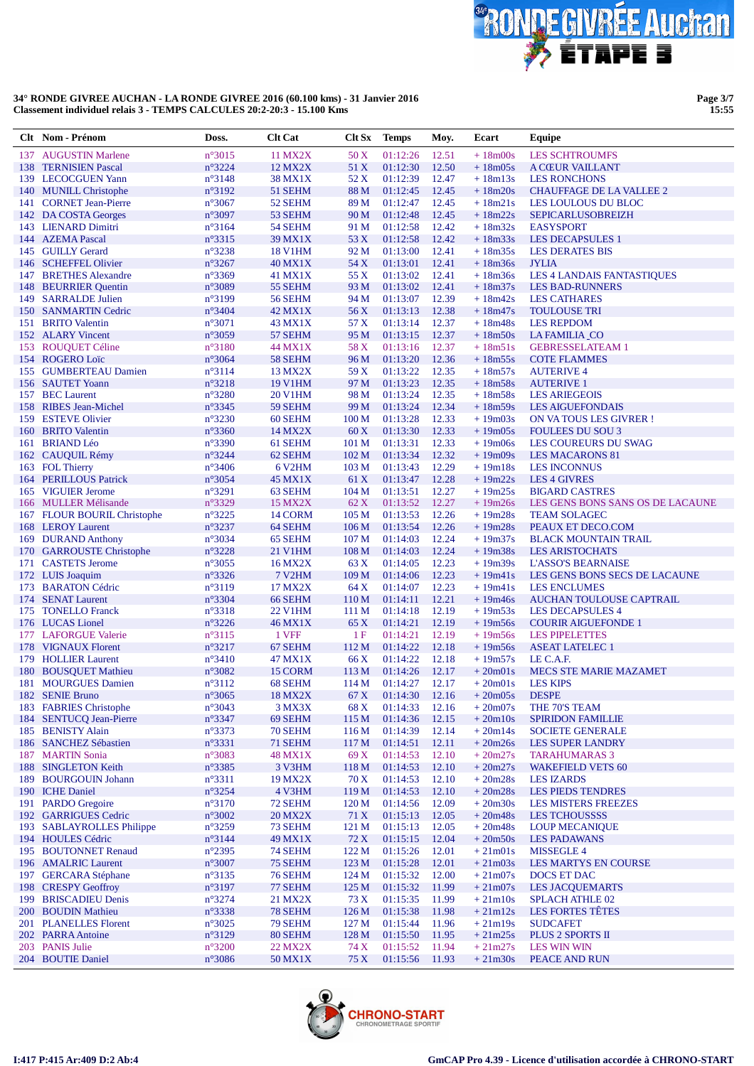

**Page 3/7 15:55**

|     | Clt Nom - Prénom                                 | Doss.                              | <b>Clt Cat</b>                        | Clt Sx                   | <b>Temps</b>         | Moy.           | Ecart                  | Equipe                                                     |
|-----|--------------------------------------------------|------------------------------------|---------------------------------------|--------------------------|----------------------|----------------|------------------------|------------------------------------------------------------|
| 137 | <b>AUGUSTIN Marlene</b>                          | $n^{\circ}3015$                    | 11 MX2X                               | 50 X                     | 01:12:26             | 12.51          | $+18m00s$              | <b>LES SCHTROUMFS</b>                                      |
|     | 138 TERNISIEN Pascal                             | $n^{\circ}3224$                    | 12 MX2X                               | 51 X                     | 01:12:30             | 12.50          | $+18m05s$              | A CŒUR VAILLANT                                            |
|     | 139 LECOCGUEN Yann                               | $n^{\circ}3148$                    | 38 MX1X                               | 52 X<br>88 M             | 01:12:39<br>01:12:45 | 12.47<br>12.45 | $+18m13s$<br>$+18m20s$ | <b>LES RONCHONS</b>                                        |
|     | 140 MUNILL Christophe<br>141 CORNET Jean-Pierre  | $n^{\circ}3192$<br>$n^{\circ}3067$ | 51 SEHM<br>52 SEHM                    | 89 M                     | 01:12:47             | 12.45          | $+18m21s$              | <b>CHAUFFAGE DE LA VALLEE 2</b><br>LES LOULOUS DU BLOC     |
|     | 142 DA COSTA Georges                             | $n^{\circ}3097$                    | 53 SEHM                               | 90 M                     | 01:12:48             | 12.45          | $+18m22s$              | <b>SEPICARLUSOBREIZH</b>                                   |
|     | 143 LIENARD Dimitri                              | $n^{\circ}3164$                    | 54 SEHM                               | 91 M                     | 01:12:58             | 12.42          | $+18m32s$              | <b>EASYSPORT</b>                                           |
|     | 144 AZEMA Pascal                                 | $n^{\circ}3315$                    | 39 MX1X                               | 53 X                     | 01:12:58             | 12.42          | $+18m33s$              | <b>LES DECAPSULES 1</b>                                    |
|     | 145 GUILLY Gerard                                | $n^{\circ}3238$                    | <b>18 V1HM</b>                        | 92 M                     | 01:13:00             | 12.41          | $+18m35s$              | <b>LES DERATES BIS</b>                                     |
| 146 | <b>SCHEFFEL Olivier</b><br>147 BRETHES Alexandre | $n^{\circ}3267$<br>$n^{\circ}3369$ | <b>40 MX1X</b><br>41 MX1X             | 54 X<br>55 X             | 01:13:01<br>01:13:02 | 12.41<br>12.41 | $+18m36s$<br>$+18m36s$ | <b>JYLIA</b><br><b>LES 4 LANDAIS FANTASTIQUES</b>          |
|     | 148 BEURRIER Quentin                             | $n^{\circ}3089$                    | 55 SEHM                               | 93 M                     | 01:13:02             | 12.41          | $+18m37s$              | <b>LES BAD-RUNNERS</b>                                     |
|     | 149 SARRALDE Julien                              | n°3199                             | 56 SEHM                               | 94 M                     | 01:13:07             | 12.39          | $+18m42s$              | <b>LES CATHARES</b>                                        |
|     | 150 SANMARTIN Cedric                             | $n^{\circ}3404$                    | 42 MX1X                               | 56 X                     | 01:13:13             | 12.38          | $+18m47s$              | <b>TOULOUSE TRI</b>                                        |
|     | 151 BRITO Valentin                               | $n^{\circ}3071$                    | 43 MX1X                               | 57 X                     | 01:13:14             | 12.37          | $+18m48s$              | <b>LES REPDOM</b>                                          |
|     | 152 ALARY Vincent                                | $n^{\circ}3059$                    | 57 SEHM                               | 95 M                     | 01:13:15             | 12.37          | $+18m50s$              | LA FAMILIA CO                                              |
|     | 153 ROUQUET Céline                               | $n^{\circ}3180$                    | 44 MX1X                               | 58 X                     | 01:13:16             | 12.37          | $+18m51s$              | <b>GEBRESSELATEAM 1</b>                                    |
|     | 154 ROGERO Loïc<br>155 GUMBERTEAU Damien         | $n^{\circ}3064$<br>$n^{\circ}3114$ | 58 SEHM<br>13 MX2X                    | 96 M<br>59 X             | 01:13:20<br>01:13:22 | 12.36<br>12.35 | $+18m55s$<br>$+18m57s$ | <b>COTE FLAMMES</b><br><b>AUTERIVE 4</b>                   |
|     | 156 SAUTET Yoann                                 | $n^{\circ}3218$                    | <b>19 V1HM</b>                        | 97 M                     | 01:13:23             | 12.35          | $+18m58s$              | <b>AUTERIVE 1</b>                                          |
|     | 157 BEC Laurent                                  | $n^{\circ}3280$                    | <b>20 V1HM</b>                        | 98 M                     | 01:13:24             | 12.35          | $+18m58s$              | <b>LES ARIEGEOIS</b>                                       |
|     | 158 RIBES Jean-Michel                            | $n^{\circ}3345$                    | 59 SEHM                               | 99 M                     | 01:13:24             | 12.34          | $+18m59s$              | <b>LES AIGUEFONDAIS</b>                                    |
|     | 159 ESTEVE Olivier                               | $n^{\circ}3230$                    | 60 SEHM                               | 100 <sub>M</sub>         | 01:13:28             | 12.33          | $+19m03s$              | <b>ON VATOUS LES GIVRER!</b>                               |
|     | 160 BRITO Valentin                               | $n^{\circ}3360$                    | 14 MX2X                               | 60X                      | 01:13:30             | 12.33          | $+19m05s$              | <b>FOULEES DU SOU 3</b>                                    |
| 161 | <b>BRIAND Léo</b>                                | $n^{\circ}3390$                    | 61 SEHM                               | 101 <sub>M</sub>         | 01:13:31             | 12.33          | $+19m06s$              | LES COUREURS DU SWAG                                       |
|     | 162 CAUQUIL Rémy                                 | $n^{\circ}3244$                    | 62 SEHM                               | 102 <sub>M</sub>         | 01:13:34             | 12.32          | $+19m09s$              | <b>LES MACARONS 81</b>                                     |
|     | 163 FOL Thierry<br>164 PERILLOUS Patrick         | $n^{\circ}3406$<br>$n^{\circ}3054$ | 6 V <sub>2</sub> HM<br><b>45 MX1X</b> | 103 <sub>M</sub><br>61 X | 01:13:43<br>01:13:47 | 12.29<br>12.28 | $+19m18s$<br>$+19m22s$ | <b>LES INCONNUS</b><br><b>LES 4 GIVRES</b>                 |
|     | 165 VIGUIER Jerome                               | $n^{\circ}3291$                    | 63 SEHM                               | 104 M                    | 01:13:51             | 12.27          | $+19m25s$              | <b>BIGARD CASTRES</b>                                      |
|     | 166 MULLER Mélisande                             | $n^{\circ}3329$                    | <b>15 MX2X</b>                        | 62 X                     | 01:13:52             | 12.27          | $+19m26s$              | LES GENS BONS SANS OS DE LACAUNE                           |
|     | 167 FLOUR BOURIL Christophe                      | $n^{\circ}3225$                    | 14 CORM                               | 105 M                    | 01:13:53             | 12.26          | $+19m28s$              | <b>TEAM SOLAGEC</b>                                        |
|     | 168 LEROY Laurent                                | n°3237                             | 64 SEHM                               | 106 <sub>M</sub>         | 01:13:54             | 12.26          | $+19m28s$              | PEAUX ET DECO.COM                                          |
|     | 169 DURAND Anthony                               | $n^{\circ}3034$                    | 65 SEHM                               | 107 <sub>M</sub>         | 01:14:03             | 12.24          | $+19m37s$              | <b>BLACK MOUNTAIN TRAIL</b>                                |
|     | 170 GARROUSTE Christophe                         | n°3228                             | 21 V1HM                               | 108 <sub>M</sub>         | 01:14:03             | 12.24          | $+19m38s$              | <b>LES ARISTOCHATS</b>                                     |
|     | 171 CASTETS Jerome<br>172 LUIS Joaquim           | $n^{\circ}3055$<br>$n^{\circ}3326$ | 16 MX2X<br>7 V <sub>2</sub> HM        | 63 X<br>109 M            | 01:14:05<br>01:14:06 | 12.23<br>12.23 | $+19m39s$<br>$+19m41s$ | <b>L'ASSO'S BEARNAISE</b><br>LES GENS BONS SECS DE LACAUNE |
|     | 173 BARATON Cédric                               | $n^{\circ}3119$                    | 17 MX2X                               | 64 X                     | 01:14:07             | 12.23          | $+19m41s$              | <b>LES ENCLUMES</b>                                        |
|     | 174 SENAT Laurent                                | $n^{\circ}3304$                    | 66 SEHM                               | 110 M                    | 01:14:11             | 12.21          | $+19m46s$              | <b>AUCHAN TOULOUSE CAPTRAIL</b>                            |
|     | 175 TONELLO Franck                               | $n^{\circ}3318$                    | <b>22 V1HM</b>                        | 111 M                    | 01:14:18             | 12.19          | $+19m53s$              | <b>LES DECAPSULES 4</b>                                    |
|     | 176 LUCAS Lionel                                 | $n^{\circ}3226$                    | 46 MX1X                               | 65 X                     | 01:14:21             | 12.19          | $+19m56s$              | <b>COURIR AIGUEFONDE 1</b>                                 |
|     | 177 LAFORGUE Valerie                             | $n^{\circ}3115$                    | 1 VFF                                 | -1 F                     | 01:14:21             | 12.19          | $+19m56s$              | <b>LES PIPELETTES</b>                                      |
|     | 178 VIGNAUX Florent<br>179 HOLLIER Laurent       | $n^{\circ}3217$<br>$n^{\circ}3410$ | 67 SEHM<br>47 MX1X                    | 112M<br>66 X             | 01:14:22<br>01:14:22 | 12.18<br>12.18 | $+19m56s$<br>$+19m57s$ | <b>ASEAT LATELEC 1</b><br>LE C.A.F.                        |
| 180 | <b>BOUSQUET Mathieu</b>                          | $n^{\circ}3082$                    | 15 CORM                               | 113 <sub>M</sub>         | 01:14:26             | 12.17          | $+20m01s$              | <b>MECS STE MARIE MAZAMET</b>                              |
|     | 181 MOURGUES Damien                              | $n^{\circ}3112$                    | 68 SEHM                               | 114M                     | 01:14:27             | 12.17          | $+20m01s$              | <b>LES KIPS</b>                                            |
|     | 182 SENIE Bruno                                  | $n^{\circ}3065$                    | 18 MX2X                               | 67 X                     | $01:14:30$ 12.16     |                | $+20m05s$ DESPE        |                                                            |
|     | 183 FABRIES Christophe                           | $n^{\circ}3043$                    | 3 MX3X                                | 68 X                     | 01:14:33 12.16       |                | $+20m07s$              | THE 70'S TEAM                                              |
|     | 184 SENTUCQ Jean-Pierre                          | n°3347                             | 69 SEHM                               | 115 M                    | 01:14:36             | 12.15          | $+20m10s$              | <b>SPIRIDON FAMILLIE</b>                                   |
|     | 185 BENISTY Alain<br>186 SANCHEZ Sébastien       | $n^{\circ}3373$<br>$n^{\circ}3331$ | 70 SEHM<br>71 SEHM                    | 116M<br>117 M            | 01:14:39             | 12.14<br>12.11 | $+20m14s$<br>$+20m26s$ | <b>SOCIETE GENERALE</b><br><b>LES SUPER LANDRY</b>         |
|     | 187 MARTIN Sonia                                 | $n^{\circ}3083$                    | 48 MX1X                               | 69 X                     | 01:14:51<br>01:14:53 | 12.10          | $+20m27s$              | <b>TARAHUMARAS 3</b>                                       |
|     | 188 SINGLETON Keith                              | $n^{\circ}3385$                    | 3 V3HM                                | 118 M                    | 01:14:53             | 12.10          | $+20m27s$              | <b>WAKEFIELD VETS 60</b>                                   |
|     | 189 BOURGOUIN Johann                             | $n^{\circ}3311$                    | 19 MX2X                               | 70 X                     | 01:14:53             | 12.10          | $+20m28s$              | <b>LES IZARDS</b>                                          |
|     | 190 ICHE Daniel                                  | n°3254                             | 4 V3HM                                | 119 M                    | 01:14:53             | 12.10          | $+20m28s$              | <b>LES PIEDS TENDRES</b>                                   |
|     | 191 PARDO Gregoire                               | $n^{\circ}3170$                    | 72 SEHM                               | 120 M                    | 01:14:56             | 12.09          | $+20m30s$              | <b>LES MISTERS FREEZES</b>                                 |
|     | 192 GARRIGUES Cedric                             | n°3002                             | <b>20 MX2X</b>                        | 71 X                     | 01:15:13             | 12.05          | $+20m48s$              | <b>LES TCHOUSSSS</b>                                       |
|     | 193 SABLAYROLLES Philippe<br>194 HOULES Cédric   | $n^{\circ}3259$<br>$n^{\circ}3144$ | 73 SEHM<br>49 MX1X                    | 121 M<br>72 X            | 01:15:13<br>01:15:15 | 12.05<br>12.04 | $+20m48s$<br>$+20m50s$ | <b>LOUP MECANIQUE</b><br><b>LES PADAWANS</b>               |
|     | 195 BOUTONNET Renaud                             | $n^{\circ}2395$                    | 74 SEHM                               | 122 M                    | 01:15:26             | 12.01          | $+21m01s$              | MISSEGLE 4                                                 |
|     | 196 AMALRIC Laurent                              | $n^{\circ}3007$                    | 75 SEHM                               | 123 M                    | 01:15:28             | 12.01          | $+21m03s$              | LES MARTYS EN COURSE                                       |
|     | 197 GERCARA Stéphane                             | $n^{\circ}3135$                    | 76 SEHM                               | 124M                     | 01:15:32             | 12.00          | $+21m07s$              | DOCS ET DAC                                                |
|     | 198 CRESPY Geoffroy                              | $n^{\circ}3197$                    | 77 SEHM                               | 125 M                    | 01:15:32             | 11.99          | $+21m07s$              | <b>LES JACQUEMARTS</b>                                     |
|     | 199 BRISCADIEU Denis                             | $n^{\circ}3274$                    | 21 MX2X                               | 73 X                     | 01:15:35             | 11.99          | $+21m10s$              | <b>SPLACH ATHLE 02</b>                                     |
|     | 200 BOUDIN Mathieu                               | n°3338                             | 78 SEHM                               | 126 M                    | 01:15:38             | 11.98          | $+21m12s$              | <b>LES FORTES TÊTES</b>                                    |
|     | 201 PLANELLES Florent<br>202 PARRA Antoine       | $n^{\circ}3025$<br>n°3129          | 79 SEHM<br>80 SEHM                    | 127 M<br>128 M           | 01:15:44<br>01:15:50 | 11.96<br>11.95 | $+21m19s$<br>$+21m25s$ | <b>SUDCAFET</b><br><b>PLUS 2 SPORTS II</b>                 |
|     | 203 PANIS Julie                                  | $n^{\circ}3200$                    | 22 MX2X                               | 74 X                     | 01:15:52             | 11.94          | $+21m27s$              | <b>LES WIN WIN</b>                                         |
|     | 204 BOUTIE Daniel                                | $n^{\circ}3086$                    | 50 MX1X                               | 75 X                     | 01:15:56             | 11.93          | $+21m30s$              | PEACE AND RUN                                              |

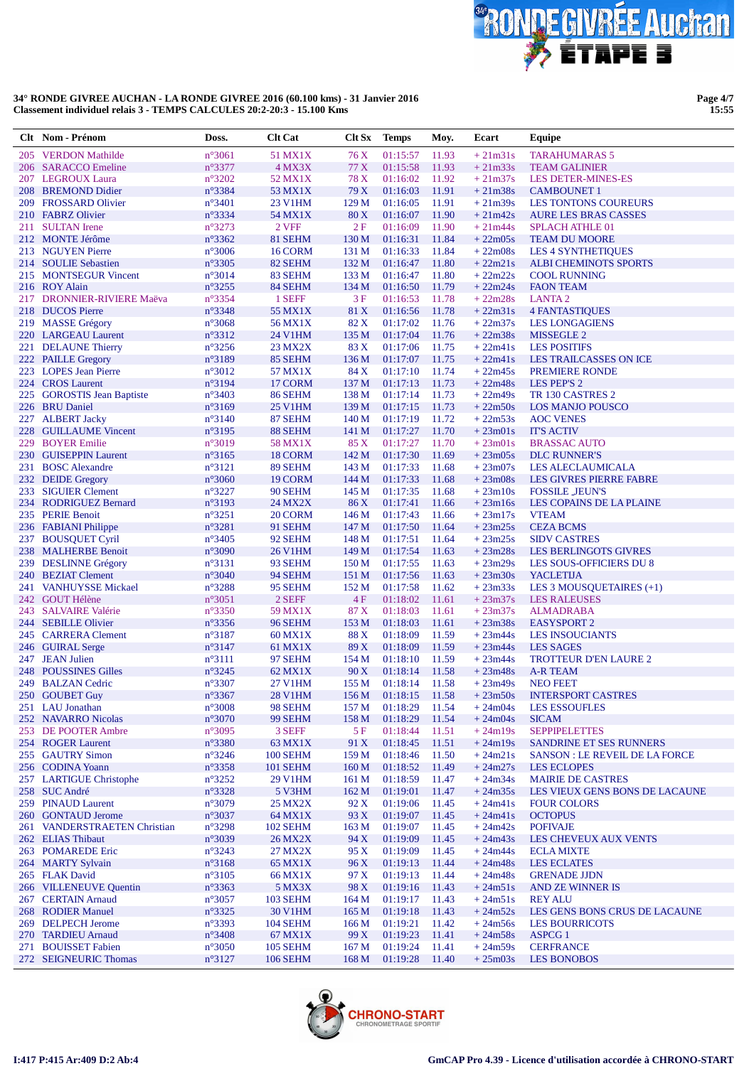

Page 4/7<br>15:55

|     | Clt Nom - Prénom                             | Doss.                              | <b>Clt Cat</b>     | Clt Sx           | <b>Temps</b>         | Moy.           | Ecart                  | Equipe                                              |
|-----|----------------------------------------------|------------------------------------|--------------------|------------------|----------------------|----------------|------------------------|-----------------------------------------------------|
| 205 | <b>VERDON Mathilde</b>                       | $n^{\circ}3061$                    | 51 MX1X            | 76 X             | 01:15:57             | 11.93          | $+21m31s$              | <b>TARAHUMARAS 5</b>                                |
| 206 | <b>SARACCO Emeline</b>                       | n°3377                             | 4 MX3X             | 77 X             | 01:15:58             | 11.93          | $+21m33s$              | <b>TEAM GALINIER</b>                                |
|     | 207 LEGROUX Laura                            | $n^{\circ}3202$                    | 52 MX1X            | 78 X             | 01:16:02             | 11.92          | $+21m37s$              | <b>LES DETER-MINES-ES</b>                           |
| 208 | <b>BREMOND Didier</b>                        | n°3384                             | 53 MX1X            | 79 X             | 01:16:03             | 11.91          | $+21m38s$              | <b>CAMBOUNET 1</b>                                  |
| 209 | <b>FROSSARD Olivier</b>                      | $n^{\circ}3401$                    | 23 V1HM            | 129 M            | 01:16:05             | 11.91          | $+21m39s$              | <b>LES TONTONS COUREURS</b>                         |
|     | 210 FABRZ Olivier                            | n°3334                             | 54 MX1X            | 80X              | 01:16:07             | 11.90          | $+21m42s$              | <b>AURE LES BRAS CASSES</b>                         |
| 211 | <b>SULTAN</b> Irene                          | n°3273                             | 2 VFF              | 2F               | 01:16:09             | 11.90          | $+21m44s$              | <b>SPLACH ATHLE 01</b>                              |
|     | 212 MONTE Jérôme                             | $n^{\circ}3362$                    | 81 SEHM            | 130 M            | 01:16:31             | 11.84          | $+22m05s$              | <b>TEAM DU MOORE</b>                                |
|     | 213 NGUYEN Pierre<br>214 SOULIE Sebastien    | $n^{\circ}3006$<br>n°3305          | 16 CORM<br>82 SEHM | 131 M<br>132 M   | 01:16:33<br>01:16:47 | 11.84<br>11.80 | $+22m08s$<br>$+22m21s$ | <b>LES 4 SYNTHETIQUES</b>                           |
|     | 215 MONTSEGUR Vincent                        | $n^{\circ}3014$                    | 83 SEHM            | 133 M            | 01:16:47             | 11.80          | $+22m22s$              | <b>ALBI CHEMINOTS SPORTS</b><br><b>COOL RUNNING</b> |
|     | 216 ROY Alain                                | $n^{\circ}3255$                    | 84 SEHM            | 134 M            | 01:16:50             | 11.79          | $+22m24s$              | <b>FAON TEAM</b>                                    |
|     | 217 DRONNIER-RIVIERE Maëva                   | n°3354                             | 1 SEFF             | 3F               | 01:16:53             | 11.78          | $+22m28s$              | <b>LANTA2</b>                                       |
| 218 | <b>DUCOS</b> Pierre                          | n°3348                             | 55 MX1X            | 81 X             | 01:16:56             | 11.78          | $+22m31s$              | <b>4 FANTASTIQUES</b>                               |
|     | 219 MASSE Grégory                            | $n^{\circ}3068$                    | 56 MX1X            | 82 X             | 01:17:02             | 11.76          | $+22m37s$              | <b>LES LONGAGIENS</b>                               |
|     | 220 LARGEAU Laurent                          | $n^{\circ}3312$                    | 24 V1HM            | 135 M            | 01:17:04             | 11.76          | $+22m38s$              | MISSEGLE 2                                          |
|     | 221 DELAUNE Thierry                          | $n^{\circ}3256$                    | 23 MX2X            | 83 X             | 01:17:06             | 11.75          | $+22m41s$              | <b>LES POSITIFS</b>                                 |
|     | 222 PAILLE Gregory                           | $n^{\circ}3189$                    | 85 SEHM            | 136 M            | 01:17:07             | 11.75          | $+22m41s$              | LES TRAILCASSES ON ICE                              |
|     | 223 LOPES Jean Pierre                        | $n^{\circ}3012$                    | 57 MX1X            | 84 X             | 01:17:10             | 11.74          | $+22m45s$              | <b>PREMIERE RONDE</b>                               |
|     | 224 CROS Laurent                             | n°3194                             | 17 CORM            | 137 M            | 01:17:13             | 11.73          | $+22m48s$              | LES PEP'S 2                                         |
|     | 225 GOROSTIS Jean Baptiste                   | $n^{\circ}3403$                    | 86 SEHM            | 138 M            | 01:17:14             | 11.73          | $+22m49s$              | TR 130 CASTRES 2                                    |
|     | 226 BRU Daniel                               | $n^{\circ}3169$                    | <b>25 V1HM</b>     | 139 M            | 01:17:15             | 11.73          | $+22m50s$              | <b>LOS MANJO POUSCO</b>                             |
|     | 227 ALBERT Jacky                             | $n^{\circ}3140$                    | 87 SEHM            | 140 M            | 01:17:19             | 11.72          | $+22m53s$              | <b>AOC VENES</b>                                    |
| 228 | <b>GUILLAUME Vincent</b>                     | $n^{\circ}3195$                    | 88 SEHM            | 141 M            | 01:17:27             | 11.70          | $+23m01s$              | <b>IT'S ACTIV</b>                                   |
| 229 | <b>BOYER Emilie</b><br>230 GUISEPPIN Laurent | $n^{\circ}3019$<br>$n^{\circ}3165$ | 58 MX1X<br>18 CORM | 85 X<br>142 M    | 01:17:27<br>01:17:30 | 11.70<br>11.69 | $+23m01s$<br>$+23m05s$ | <b>BRASSAC AUTO</b><br><b>DLC RUNNER'S</b>          |
|     | 231 BOSC Alexandre                           | $n^{\circ}3121$                    | 89 SEHM            | 143 M            | 01:17:33             | 11.68          | $+23m07s$              | <b>LES ALECLAUMICALA</b>                            |
|     | 232 DEIDE Gregory                            | $n^{\circ}3060$                    | 19 CORM            | 144 M            | 01:17:33             | 11.68          | $+23m08s$              | <b>LES GIVRES PIERRE FABRE</b>                      |
| 233 | <b>SIGUIER Clement</b>                       | $n^{\circ}3227$                    | 90 SEHM            | 145 M            | 01:17:35             | 11.68          | $+23ml0s$              | <b>FOSSILE JEUN'S</b>                               |
|     | 234 RODRIGUEZ Bernard                        | $n^{\circ}3193$                    | 24 MX2X            | 86 X             | 01:17:41             | 11.66          | $+23m16s$              | LES COPAINS DE LA PLAINE                            |
|     | 235 PERIE Benoit                             | $n^{\circ}3251$                    | 20 CORM            | 146 M            | 01:17:43             | 11.66          | $+23m17s$              | <b>VTEAM</b>                                        |
|     | 236 FABIANI Philippe                         | n°3281                             | 91 SEHM            | 147 M            | 01:17:50             | 11.64          | $+23m25s$              | <b>CEZA BCMS</b>                                    |
|     | 237 BOUSQUET Cyril                           | $n^{\circ}3405$                    | 92 SEHM            | 148 M            | 01:17:51             | 11.64          | $+23m25s$              | <b>SIDV CASTRES</b>                                 |
|     | 238 MALHERBE Benoit                          | n°3090                             | <b>26 V1HM</b>     | 149 M            | 01:17:54             | 11.63          | $+23m28s$              | <b>LES BERLINGOTS GIVRES</b>                        |
|     | 239 DESLINNE Grégory                         | $n^{\circ}3131$                    | 93 SEHM            | 150 <sub>M</sub> | 01:17:55             | 11.63          | $+23m29s$              | <b>LES SOUS-OFFICIERS DU 8</b>                      |
|     | 240 BEZIAT Clement                           | $n^{\circ}3040$                    | 94 SEHM            | 151 M            | 01:17:56             | 11.63          | $+23m30s$              | <b>YACLETIJA</b>                                    |
|     | 241 VANHUYSSE Mickael                        | n°3288                             | 95 SEHM            | 152 M            | 01:17:58             | 11.62          | $+23m33s$              | LES 3 MOUSQUETAIRES (+1)                            |
|     | 242 GOUT Hélène                              | $n^{\circ}3051$                    | 2 SEFF             | 4F               | 01:18:02             | 11.61          | $+23m37s$              | <b>LES RALEUSES</b>                                 |
|     | 243 SALVAIRE Valérie                         | $n^{\circ}3350$                    | 59 MX1X            | 87 X             | 01:18:03             | 11.61          | $+23m37s$              | <b>ALMADRABA</b>                                    |
|     | 244 SEBILLE Olivier<br>245 CARRERA Clement   | $n^{\circ}3356$                    | 96 SEHM<br>60 MX1X | 153 M<br>88 X    | 01:18:03<br>01:18:09 | 11.61<br>11.59 | $+23m38s$              | <b>EASYSPORT 2</b>                                  |
|     | 246 GUIRAL Serge                             | $n^{\circ}3187$<br>$n^{\circ}3147$ | 61 MX1X            | 89 X             | 01:18:09             | 11.59          | $+23m44s$<br>$+23m44s$ | <b>LES INSOUCIANTS</b><br><b>LES SAGES</b>          |
|     | 247 JEAN Julien                              | $n^{\circ}3111$                    | 97 SEHM            | 154 M            | 01:18:10             | 11.59          | $+23m44s$              | <b>TROTTEUR D'EN LAURE 2</b>                        |
| 248 | <b>POUSSINES Gilles</b>                      | n°3245                             | 62 MX1X            | 90X              | 01:18:14             | 11.58          | $+23m48s$              | <b>A-R TEAM</b>                                     |
|     | 249 BALZAN Cedric                            | $n^{\circ}3307$                    | 27 V1HM            | 155 M            | 01:18:14             | 11.58          | $+23m49s$              | <b>NEO FEET</b>                                     |
|     | 250 GOUBET Guy                               | $n^{\circ}3367$                    | <b>28 V1HM</b>     |                  | 156 M 01:18:15 11.58 |                |                        | +23m50s INTERSPORT CASTRES                          |
|     | 251 LAU Jonathan                             | $n^{\circ}3008$                    | 98 SEHM            | 157 M            | 01:18:29 11.54       |                | $+24m04s$              | <b>LES ESSOUFLES</b>                                |
|     | 252 NAVARRO Nicolas                          | n°3070                             | 99 SEHM            | 158 M            | 01:18:29             | 11.54          | $+24m04s$              | <b>SICAM</b>                                        |
|     | 253 DE POOTER Ambre                          | $n^{\circ}3095$                    | 3 SEFF             | 5F               | 01:18:44             | 11.51          | $+24m19s$              | <b>SEPPIPELETTES</b>                                |
|     | 254 ROGER Laurent                            | $n^{\circ}3380$                    | 63 MX1X            | 91 X             | 01:18:45             | 11.51          | $+24m19s$              | <b>SANDRINE ET SES RUNNERS</b>                      |
|     | 255 GAUTRY Simon                             | $n^{\circ}3246$                    | <b>100 SEHM</b>    | 159 M            | 01:18:46             | 11.50          | $+24m21s$              | SANSON : LE REVEIL DE LA FORCE                      |
|     | 256 CODINA Yoann                             | $n^{\circ}3358$                    | <b>101 SEHM</b>    | 160 <sub>M</sub> | 01:18:52             | 11.49          | $+24m27s$              | <b>LES ECLOPES</b>                                  |
|     | 257 LARTIGUE Christophe                      | $n^{\circ}3252$                    | 29 V1HM            | 161 M            | 01:18:59             | 11.47          | $+24m34s$              | <b>MAIRIE DE CASTRES</b>                            |
|     | 258 SUC André                                | $n^{\circ}3328$                    | 5 V3HM             | 162 M            | 01:19:01             | 11.47          | $+24m35s$              | LES VIEUX GENS BONS DE LACAUNE                      |
|     | 259 PINAUD Laurent<br>260 GONTAUD Jerome     | $n^{\circ}3079$<br>$n^{\circ}3037$ | 25 MX2X<br>64 MX1X | 92 X<br>93 X     | 01:19:06<br>01:19:07 | 11.45<br>11.45 | $+24m41s$<br>$+24m41s$ | <b>FOUR COLORS</b><br><b>OCTOPUS</b>                |
|     | 261 VANDERSTRAETEN Christian                 | n°3298                             | <b>102 SEHM</b>    | 163 M            | 01:19:07             | 11.45          | $+24m42s$              | <b>POFIVAJE</b>                                     |
|     | 262 ELIAS Thibaut                            | $n^{\circ}3039$                    | <b>26 MX2X</b>     | 94 X             | 01:19:09             | 11.45          | $+24m43s$              | LES CHEVEUX AUX VENTS                               |
|     | 263 POMAREDE Eric                            | $n^{\circ}3243$                    | 27 MX2X            | 95 X             | 01:19:09             | 11.45          | $+24m44s$              | <b>ECLA MIXTE</b>                                   |
|     | 264 MARTY Sylvain                            | $n^{\circ}3168$                    | 65 MX1X            | 96X              | 01:19:13             | 11.44          | $+24m48s$              | <b>LES ECLATES</b>                                  |
|     | 265 FLAK David                               | $n^{\circ}3105$                    | 66 MX1X            | 97 X             | 01:19:13             | 11.44          | $+24m48s$              | <b>GRENADE JJDN</b>                                 |
|     | 266 VILLENEUVE Quentin                       | n°3363                             | 5 MX3X             | 98 X             | 01:19:16             | 11.43          | $+24m51s$              | <b>AND ZE WINNER IS</b>                             |
|     | 267 CERTAIN Arnaud                           | $n^{\circ}3057$                    | <b>103 SEHM</b>    | 164 M            | 01:19:17             | 11.43          | $+24m51s$              | <b>REY ALU</b>                                      |
|     | 268 RODIER Manuel                            | $n^{\circ}3325$                    | <b>30 V1HM</b>     | 165 M            | 01:19:18             | 11.43          | $+24m52s$              | LES GENS BONS CRUS DE LACAUNE                       |
|     | 269 DELPECH Jerome                           | $n^{\circ}3393$                    | <b>104 SEHM</b>    | 166 M            | 01:19:21             | 11.42          | $+24m56s$              | <b>LES BOURRICOTS</b>                               |
|     | 270 TARDIEU Arnaud                           | $n^{\circ}3408$                    | 67 MX1X            | 99 X             | 01:19:23             | 11.41          | $+24m58s$              | <b>ASPCG 1</b>                                      |
|     | 271 BOUISSET Fabien                          | $n^{\circ}3050$                    | <b>105 SEHM</b>    | 167 <sub>M</sub> | 01:19:24             | 11.41          | $+24m59s$              | <b>CERFRANCE</b>                                    |
|     | 272 SEIGNEURIC Thomas                        | $n^{\circ}3127$                    | <b>106 SEHM</b>    | 168 <sub>M</sub> | 01:19:28             | 11.40          | $+25m03s$              | <b>LES BONOBOS</b>                                  |

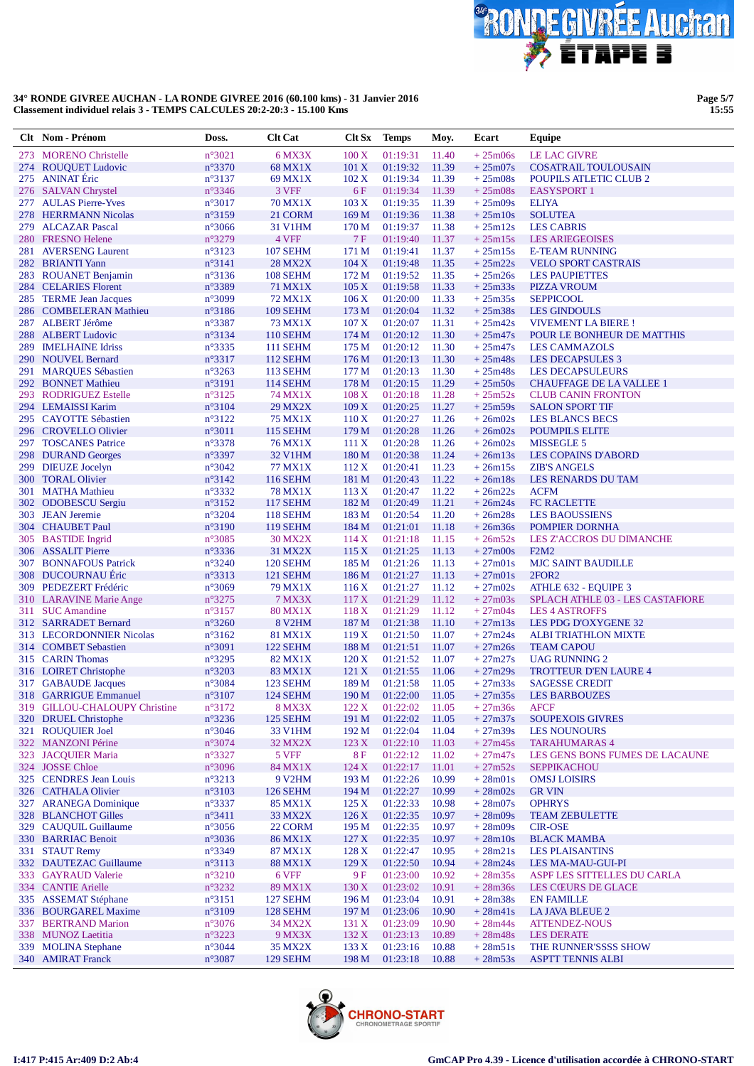

Page 5/7<br>15:55

|            | Clt Nom - Prénom                                  | Doss.                              | <b>Clt Cat</b>                     | Clt Sx             | <b>Temps</b>         | Moy.           | Ecart                  | <b>Equipe</b>                                        |
|------------|---------------------------------------------------|------------------------------------|------------------------------------|--------------------|----------------------|----------------|------------------------|------------------------------------------------------|
| 273        | <b>MORENO</b> Christelle                          | $n^{\circ}3021$                    | 6 MX3X                             | $100\,\mathrm{X}$  | 01:19:31             | 11.40          | $+25m06s$              | <b>LE LAC GIVRE</b>                                  |
| 274        | <b>ROUQUET Ludovic</b>                            | $n^{\circ}3370$                    | <b>68 MX1X</b>                     | 101 X              | 01:19:32             | 11.39          | $+25m07s$              | <b>COSATRAIL TOULOUSAIN</b>                          |
|            | 275 ANINAT Éric                                   | $n^{\circ}3137$                    | 69 MX1X                            | 102 X              | 01:19:34             | 11.39          | $+25m08s$              | <b>POUPILS ATLETIC CLUB 2</b>                        |
|            | 276 SALVAN Chrystel                               | $n^{\circ}3346$                    | 3 VFF                              | 6F                 | 01:19:34             | 11.39          | $+25m08s$              | <b>EASYSPORT 1</b>                                   |
| 277        | <b>AULAS Pierre-Yves</b>                          | $n^{\circ}3017$                    | <b>70 MX1X</b>                     | 103 X              | 01:19:35             | 11.39          | $+25m09s$              | <b>ELIYA</b>                                         |
|            | 278 HERRMANN Nicolas                              | $n^{\circ}3159$                    | 21 CORM                            | 169 M              | 01:19:36             | 11.38          | $+25m10s$              | <b>SOLUTEA</b>                                       |
| 279        | <b>ALCAZAR</b> Pascal                             | $n^{\circ}3066$                    | 31 V1HM                            | 170 <sub>M</sub>   | 01:19:37             | 11.38          | $+25m12s$              | <b>LES CABRIS</b>                                    |
|            | 280 FRESNO Helene                                 | $n^{\circ}3279$                    | 4 VFF                              | 7 F                | 01:19:40             | 11.37          | $+25m15s$              | <b>LES ARIEGEOISES</b>                               |
| 281        | <b>AVERSENG Laurent</b>                           | $n^{\circ}3123$                    | <b>107 SEHM</b>                    | 171 M              | 01:19:41             | 11.37          | $+25m15s$              | <b>E-TEAM RUNNING</b>                                |
|            | 282 BRIANTI Yann                                  | $n^{\circ}3141$                    | <b>28 MX2X</b>                     | 104 X              | 01:19:48             | 11.35          | $+25m22s$              | <b>VELO SPORT CASTRAIS</b>                           |
|            | 283 ROUANET Benjamin                              | $n^{\circ}3136$                    | <b>108 SEHM</b>                    | 172 M              | 01:19:52             | 11.35          | $+25m26s$              | <b>LES PAUPIETTES</b>                                |
|            | 284 CELARIES Florent                              | n°3389                             | 71 MX1X                            | 105 X              | 01:19:58             | 11.33          | $+25m33s$              | <b>PIZZA VROUM</b>                                   |
|            | 285 TERME Jean Jacques                            | $n^{\circ}3099$                    | 72 MX1X                            | 106 X              | 01:20:00             | 11.33          | $+25m35s$              | <b>SEPPICOOL</b>                                     |
|            | 286 COMBELERAN Mathieu                            | $n^{\circ}3186$                    | <b>109 SEHM</b>                    | 173M               | 01:20:04             | 11.32          | $+25m38s$              | <b>LES GINDOULS</b>                                  |
|            | 287 ALBERT Jérôme                                 | $n^{\circ}3387$                    | <b>73 MX1X</b>                     | 107 X              | 01:20:07             | 11.31          | $+25m42s$              | <b>VIVEMENT LA BIERE!</b>                            |
| 288        | <b>ALBERT Ludovic</b>                             | n°3134                             | <b>110 SEHM</b>                    | 174M               | 01:20:12             | 11.30          | $+25m47s$              | POUR LE BONHEUR DE MATTHIS                           |
| 289<br>290 | <b>IMELHAINE Idriss</b>                           | $n^{\circ}3335$                    | <b>111 SEHM</b>                    | 175M               | 01:20:12             | 11.30          | $+25m47s$              | <b>LES CAMMAZOLS</b>                                 |
| 291        | <b>NOUVEL Bernard</b><br><b>MARQUES Sébastien</b> | $n^{\circ}3317$<br>$n^{\circ}3263$ | <b>112 SEHM</b><br><b>113 SEHM</b> | 176M<br>177 M      | 01:20:13<br>01:20:13 | 11.30<br>11.30 | $+25m48s$<br>$+25m48s$ | <b>LES DECAPSULES 3</b><br><b>LES DECAPSULEURS</b>   |
|            | 292 BONNET Mathieu                                | n°3191                             | <b>114 SEHM</b>                    | 178 M              | 01:20:15             | 11.29          | $+25m50s$              | <b>CHAUFFAGE DE LA VALLEE 1</b>                      |
|            | 293 RODRIGUEZ Estelle                             | n°3125                             | 74 MX1X                            | 108 X              | 01:20:18             | 11.28          | $+25m52s$              | <b>CLUB CANIN FRONTON</b>                            |
|            | 294 LEMAISSI Karim                                | n°3104                             | 29 MX2X                            | 109X               | 01:20:25             | 11.27          | $+25m59s$              | <b>SALON SPORT TIF</b>                               |
|            | 295 CAYOTTE Sébastien                             | $n^{\circ}3122$                    | <b>75 MX1X</b>                     | 110X               | 01:20:27             | 11.26          | $+26m02s$              | <b>LES BLANCS BECS</b>                               |
|            | 296 CROVELLO Olivier                              | $n^{\circ}3011$                    | <b>115 SEHM</b>                    | 179 M              | 01:20:28             | 11.26          | $+26m02s$              | <b>POUMPILS ELITE</b>                                |
|            | 297 TOSCANES Patrice                              | n°3378                             | <b>76 MX1X</b>                     | 111X               | 01:20:28             | 11.26          | $+26m02s$              | <b>MISSEGLE 5</b>                                    |
|            | 298 DURAND Georges                                | $n^{\circ}3397$                    | 32 V1HM                            | 180 <sub>M</sub>   | 01:20:38             | 11.24          | $+26m13s$              | <b>LES COPAINS D'ABORD</b>                           |
|            | 299 DIEUZE Jocelyn                                | $n^{\circ}3042$                    | <b>77 MX1X</b>                     | 112X               | 01:20:41             | 11.23          | $+26m15s$              | <b>ZIB'S ANGELS</b>                                  |
|            | 300 TORAL Olivier                                 | $n^{\circ}3142$                    | <b>116 SEHM</b>                    | 181 M              | 01:20:43             | 11.22          | $+26m18s$              | LES RENARDS DU TAM                                   |
| 301        | <b>MATHA Mathieu</b>                              | $n^{\circ}3332$                    | <b>78 MX1X</b>                     | 113X               | 01:20:47             | 11.22          | $+26m22s$              | <b>ACFM</b>                                          |
|            | 302 ODOBESCU Sergiu                               | $n^{\circ}3152$                    | <b>117 SEHM</b>                    | 182 M              | 01:20:49             | 11.21          | $+26m24s$              | FC RACLETTE                                          |
|            | 303 JEAN Jeremie                                  | $n^{\circ}3204$                    | <b>118 SEHM</b>                    | 183 M              | 01:20:54             | 11.20          | $+26m28s$              | <b>LES BAOUSSIENS</b>                                |
|            | 304 CHAUBET Paul                                  | $n^{\circ}3190$                    | <b>119 SEHM</b>                    | 184 M              | 01:21:01             | 11.18          | $+26m36s$              | <b>POMPIER DORNHA</b>                                |
|            | 305 BASTIDE Ingrid                                | $n^{\circ}3085$                    | <b>30 MX2X</b>                     | 114X               | 01:21:18             | 11.15          | $+26m52s$              | LES Z'ACCROS DU DIMANCHE                             |
|            | 306 ASSALIT Pierre                                | n°3336                             | 31 MX2X                            | 115 X              | 01:21:25             | 11.13          | $+27m00s$              | F2M2                                                 |
| 307        | <b>BONNAFOUS Patrick</b>                          | $n^{\circ}3240$                    | <b>120 SEHM</b>                    | 185 M              | 01:21:26             | 11.13          | $+27m01s$              | <b>MJC SAINT BAUDILLE</b>                            |
| <b>308</b> | <b>DUCOURNAU Eric</b>                             | n°3313                             | 121 SEHM                           | 186 M              | 01:21:27             | 11.13          | $+27m01s$              | 2FOR <sub>2</sub>                                    |
| 309        | PEDEZERT Frédéric                                 | n°3069                             | 79 MX1X                            | 116X               | 01:21:27             | 11.12          | $+27m02s$              | ATHLE 632 - EQUIPE 3                                 |
|            | 310 LARAVINE Marie Ange                           | $n^{\circ}3275$                    | <b>7 MX3X</b>                      | 117 <sub>X</sub>   | 01:21:29             | 11.12          | $+27m03s$              | SPLACH ATHLE 03 - LES CASTAFIORE                     |
|            | 311 SUC Amandine                                  | $n^{\circ}3157$                    | <b>80 MX1X</b>                     | 118X               | 01:21:29             | 11.12          | $+27m04s$              | <b>LES 4 ASTROFFS</b>                                |
|            | 312 SARRADET Bernard                              | $n^{\circ}3260$                    | 8 V <sub>2</sub> HM                | 187 M              | 01:21:38             | 11.10          | $+27m13s$              | LES PDG D'OXYGENE 32                                 |
|            | 313 LECORDONNIER Nicolas                          | $n^{\circ}3162$                    | <b>81 MX1X</b>                     | 119X               | 01:21:50             | 11.07          | $+27m24s$              | <b>ALBI TRIATHLON MIXTE</b>                          |
|            | 314 COMBET Sebastien                              | $n^{\circ}3091$                    | 122 SEHM                           | 188 M              | 01:21:51             | 11.07          | $+27m26s$              | <b>TEAM CAPOU</b>                                    |
|            | 315 CARIN Thomas                                  | $n^{\circ}3295$                    | 82 MX1X                            | 120X               | 01:21:52             | 11.07          | $+27m27s$              | <b>UAG RUNNING 2</b>                                 |
|            | 316 LOIRET Christophe                             | $n^{\circ}3203$                    | 83 MX1X                            | 121 X              | 01:21:55             | 11.06          | $+27m29s$              | <b>TROTTEUR D'EN LAURE 4</b>                         |
|            | 317 GABAUDE Jacques                               | $n^{\circ}3084$                    | 123 SEHM                           | 189 M              | 01:21:58             | 11.05          | $+27m33s$              | <b>SAGESSE CREDIT</b>                                |
|            | 318 GARRIGUE Emmanuel                             | $n^{\circ}3107$                    | <b>124 SEHM</b>                    | 190 M              | 01:22:00             | 11.05          | $+27m35s$              | <b>LES BARBOUZES</b>                                 |
|            | 319 GILLOU-CHALOUPY Christine                     | n°3172                             | <b>8 MX3X</b>                      | 122X               | 01:22:02             | 11.05          | $+27m36s$              | <b>AFCF</b>                                          |
| <b>320</b> | <b>DRUEL</b> Christophe                           | $n^{\circ}3236$                    | 125 SEHM                           | 191 M              | 01:22:02             | 11.05          | $+27m37s$              | <b>SOUPEXOIS GIVRES</b>                              |
| 321        | <b>ROUQUIER Joel</b><br><b>MANZONI Périne</b>     | $n^{\circ}3046$                    | 33 V1HM                            | 192 M              | 01:22:04             | 11.04          | $+27m39s$              | <b>LES NOUNOURS</b>                                  |
| 322        |                                                   | n°3074                             | 32 MX2X                            | 123X               | 01:22:10<br>01:22:12 | 11.03          | $+27m45s$<br>$+27m47s$ | <b>TARAHUMARAS 4</b>                                 |
|            | 323 JACQUIER Maria<br>324 JOSSE Chloe             | $n^{\circ}3327$<br>n°3096          | 5 VFF<br>84 MX1X                   | <b>8F</b><br>124 X | 01:22:17             | 11.02<br>11.01 | $+27m52s$              | LES GENS BONS FUMES DE LACAUNE<br><b>SEPPIKACHOU</b> |
|            | 325 CENDRES Jean Louis                            | $n^{\circ}3213$                    | 9 V2HM                             | 193 M              | 01:22:26             | 10.99          | $+28m01s$              | <b>OMSJ LOISIRS</b>                                  |
|            | 326 CATHALA Olivier                               | $n^{\circ}3103$                    | <b>126 SEHM</b>                    | 194 M              | 01:22:27             | 10.99          | $+28m02s$              | <b>GR VIN</b>                                        |
| 327        | <b>ARANEGA Dominique</b>                          | $n^{\circ}3337$                    | 85 MX1X                            | 125X               | 01:22:33             | 10.98          | $+28m07s$              | <b>OPHRYS</b>                                        |
|            | 328 BLANCHOT Gilles                               | $n^{\circ}3411$                    | 33 MX2X                            | 126X               | 01:22:35             | 10.97          | $+28m09s$              | <b>TEAM ZEBULETTE</b>                                |
|            | 329 CAUQUIL Guillaume                             | $n^{\circ}3056$                    | 22 CORM                            | 195 M              | 01:22:35             | 10.97          | $+28m09s$              | <b>CIR-OSE</b>                                       |
|            | 330 BARRIAC Benoit                                | $n^{\circ}3036$                    | <b>86 MX1X</b>                     | 127 X              | 01:22:35             | 10.97          | $+28m10s$              | <b>BLACK MAMBA</b>                                   |
| 331        | <b>STAUT Remy</b>                                 | n°3349                             | 87 MX1X                            | 128X               | 01:22:47             | 10.95          | $+28m21s$              | <b>LES PLAISANTINS</b>                               |
|            | 332 DAUTEZAC Guillaume                            | $n^{\circ}3113$                    | <b>88 MX1X</b>                     | 129X               | 01:22:50             | 10.94          | $+28m24s$              | LES MA-MAU-GUI-PI                                    |
|            | 333 GAYRAUD Valerie                               | $n^{\circ}3210$                    | 6 VFF                              | 9F                 | 01:23:00             | 10.92          | $+28m35s$              | ASPF LES SITTELLES DU CARLA                          |
|            | 334 CANTIE Arielle                                | n°3232                             | 89 MX1X                            | 130 X              | 01:23:02             | 10.91          | $+28m36s$              | LES CŒURS DE GLACE                                   |
|            | 335 ASSEMAT Stéphane                              | $n^{\circ}3151$                    | <b>127 SEHM</b>                    | 196 <sub>M</sub>   | 01:23:04             | 10.91          | $+28m38s$              | <b>EN FAMILLE</b>                                    |
|            | 336 BOURGAREL Maxime                              | $n^{\circ}3109$                    | 128 SEHM                           | 197 M              | 01:23:06             | 10.90          | $+28m41s$              | <b>LA JAVA BLEUE 2</b>                               |
|            | 337 BERTRAND Marion                               | $n^{\circ}3076$                    | 34 MX2X                            | 131 X              | 01:23:09             | 10.90          | $+28m44s$              | <b>ATTENDEZ-NOUS</b>                                 |
|            | 338 MUNOZ Laetitia                                | $n^{\circ}3223$                    | 9 MX3X                             | 132 X              | 01:23:13             | 10.89          | $+28m48s$              | <b>LES DERATE</b>                                    |
| 339        | <b>MOLINA</b> Stephane                            | $n^{\circ}3044$                    | 35 MX2X                            | 133 X              | 01:23:16             | 10.88          | $+28m51s$              | THE RUNNER'SSSS SHOW                                 |
|            | 340 AMIRAT Franck                                 | $n^{\circ}3087$                    | 129 SEHM                           | 198 M              | 01:23:18             | 10.88          | $+28m53s$              | <b>ASPTT TENNIS ALBI</b>                             |

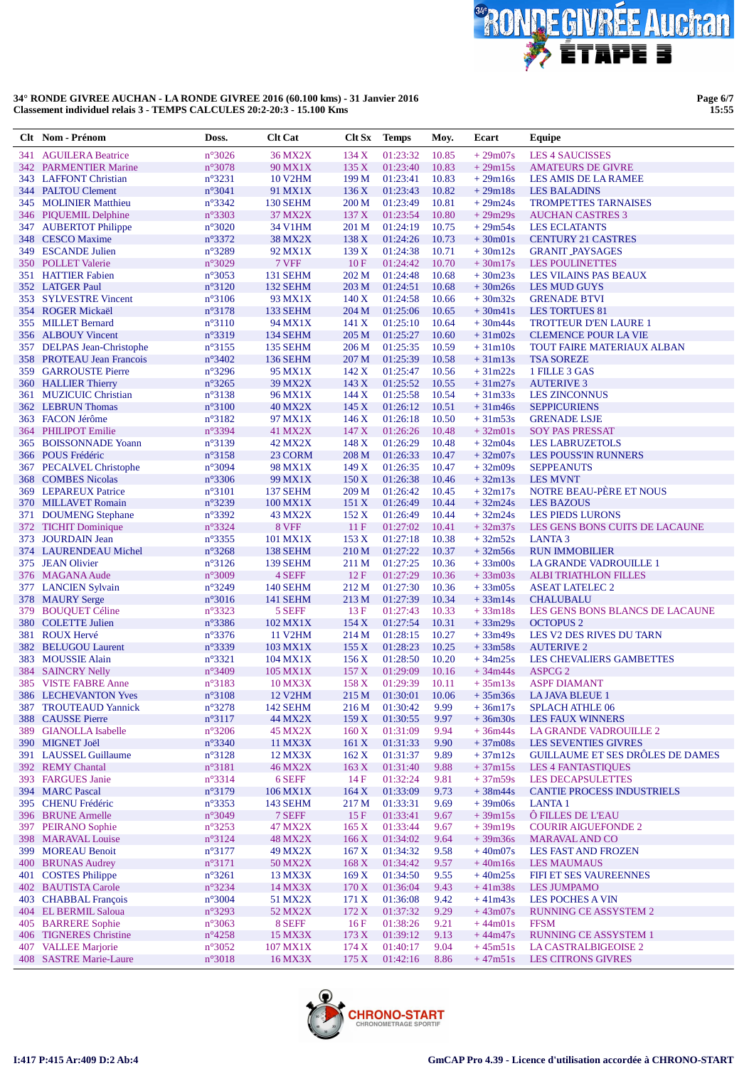

**Page 6/7 15:55**

|            | Clt Nom - Prénom                               | Doss.                              | <b>Clt Cat</b>            | Clt Sx           | <b>Temps</b>         | Moy.           | Ecart                  | Equipe                                                |
|------------|------------------------------------------------|------------------------------------|---------------------------|------------------|----------------------|----------------|------------------------|-------------------------------------------------------|
| 341        | <b>AGUILERA Beatrice</b>                       | n°3026                             | <b>36 MX2X</b>            | 134X             | 01:23:32             | 10.85          | $+29m07s$              | <b>LES 4 SAUCISSES</b>                                |
|            | 342 PARMENTIER Marine                          | n°3078                             | 90 MX1X                   | 135 X            | 01:23:40             | 10.83          | $+29m15s$              | <b>AMATEURS DE GIVRE</b>                              |
|            | 343 LAFFONT Christian                          | $n^{\circ}3231$                    | <b>10 V2HM</b>            | 199 M            | 01:23:41             | 10.83          | $+29m16s$              | <b>LES AMIS DE LA RAMEE</b>                           |
|            | 344 PALTOU Clement                             | n°3041                             | 91 MX1X                   | 136X             | 01:23:43             | 10.82          | $+29m18s$              | <b>LES BALADINS</b>                                   |
|            | 345 MOLINIER Matthieu                          | $n^{\circ}3342$                    | <b>130 SEHM</b>           | 200 <sub>M</sub> | 01:23:49             | 10.81          | $+29m24s$              | <b>TROMPETTES TARNAISES</b>                           |
|            | 346 PIQUEMIL Delphine                          | n°3303                             | 37 MX2X                   | 137 <sub>X</sub> | 01:23:54             | 10.80          | $+29m29s$              | <b>AUCHAN CASTRES 3</b>                               |
|            | 347 AUBERTOT Philippe                          | $n^{\circ}3020$                    | 34 V1HM                   | 201 M            | 01:24:19             | 10.75          | $+29m54s$              | <b>LES ECLATANTS</b>                                  |
|            | 348 CESCO Maxime<br>349 ESCANDE Julien         | n°3372                             | <b>38 MX2X</b><br>92 MX1X | 138 X            | 01:24:26             | 10.73          | $+30m01s$              | <b>CENTURY 21 CASTRES</b>                             |
| <b>350</b> | <b>POLLET</b> Valerie                          | $n^{\circ}3289$<br>n°3029          | 7 VFF                     | 139X<br>10F      | 01:24:38<br>01:24:42 | 10.71<br>10.70 | $+30m12s$<br>$+30m17s$ | <b>GRANIT PAYSAGES</b><br><b>LES POULINETTES</b>      |
|            | 351 HATTIER Fabien                             | $n^{\circ}3053$                    | <b>131 SEHM</b>           | 202 M            | 01:24:48             | 10.68          | $+30m23s$              | LES VILAINS PAS BEAUX                                 |
|            | 352 LATGER Paul                                | $n^{\circ}3120$                    | 132 SEHM                  | 203 M            | 01:24:51             | 10.68          | $+30m26s$              | <b>LES MUD GUYS</b>                                   |
|            | 353 SYLVESTRE Vincent                          | $n^{\circ}3106$                    | 93 MX1X                   | 140X             | 01:24:58             | 10.66          | $+30m32s$              | <b>GRENADE BTVI</b>                                   |
|            | 354 ROGER Mickaël                              | $n^{\circ}3178$                    | 133 SEHM                  | 204 M            | 01:25:06             | 10.65          | $+30m41s$              | <b>LES TORTUES 81</b>                                 |
|            | 355 MILLET Bernard                             | $n^{\circ}3110$                    | 94 MX1X                   | 141X             | 01:25:10             | 10.64          | $+30m44s$              | <b>TROTTEUR D'EN LAURE 1</b>                          |
|            | 356 ALBOUY Vincent                             | $n^{\circ}3319$                    | 134 SEHM                  | 205 M            | 01:25:27             | 10.60          | $+31m02s$              | <b>CLEMENCE POUR LA VIE</b>                           |
|            | 357 DELPAS Jean-Christophe                     | $n^{\circ}3155$                    | 135 SEHM                  | 206 M            | 01:25:35             | 10.59          | $+31m10s$              | TOUT FAIRE MATERIAUX ALBAN                            |
|            | 358 PROTEAU Jean Francois                      | $n^{\circ}3402$                    | <b>136 SEHM</b>           | 207 M            | 01:25:39             | 10.58          | $+31m13s$              | <b>TSA SOREZE</b>                                     |
|            | 359 GARROUSTE Pierre                           | $n^{\circ}3296$                    | 95 MX1X                   | 142X             | 01:25:47             | 10.56          | $+31m22s$              | 1 FILLE 3 GAS                                         |
|            | 360 HALLIER Thierry                            | $n^{\circ}3265$                    | <b>39 MX2X</b>            | 143 X<br>144X    | 01:25:52<br>01:25:58 | 10.55          | $+31m27s$              | <b>AUTERIVE 3</b>                                     |
| 361        | <b>MUZICUIC Christian</b><br>362 LEBRUN Thomas | $n^{\circ}3138$<br>$n^{\circ}3100$ | 96 MX1X<br><b>40 MX2X</b> | 145 X            | 01:26:12             | 10.54<br>10.51 | $+31m33s$<br>$+31m46s$ | <b>LES ZINCONNUS</b><br><b>SEPPICURIENS</b>           |
|            | 363 FACON Jérôme                               | $n^{\circ}3182$                    | 97 MX1X                   | 146X             | 01:26:18             | 10.50          | $+31m53s$              | <b>GRENADE LSJE</b>                                   |
| 364        | <b>PHILIPOT Emilie</b>                         | $n^{\circ}3394$                    | 41 MX2X                   | 147 <sub>X</sub> | 01:26:26             | 10.48          | $+32m01s$              | <b>SOY PAS PRESSAT</b>                                |
|            | 365 BOISSONNADE Yoann                          | $n^{\circ}3139$                    | 42 MX2X                   | 148X             | 01:26:29             | 10.48          | $+32m04s$              | <b>LES LABRUZETOLS</b>                                |
|            | 366 POUS Frédéric                              | $n^{\circ}3158$                    | 23 CORM                   | 208 M            | 01:26:33             | 10.47          | $+32m07s$              | <b>LES POUSS'IN RUNNERS</b>                           |
|            | 367 PECALVEL Christophe                        | $n^{\circ}3094$                    | 98 MX1X                   | 149X             | 01:26:35             | 10.47          | $+32m09s$              | <b>SEPPEANUTS</b>                                     |
|            | 368 COMBES Nicolas                             | $n^{\circ}3306$                    | 99 MX1X                   | 150X             | 01:26:38             | 10.46          | $+32m13s$              | <b>LES MVNT</b>                                       |
| 369        | <b>LEPAREUX Patrice</b>                        | $n^{\circ}3101$                    | 137 SEHM                  | 209 M            | 01:26:42             | 10.45          | $+32m17s$              | NOTRE BEAU-PÈRE ET NOUS                               |
|            | 370 MILLAVET Romain                            | n°3239                             | 100 MX1X                  | 151X             | 01:26:49             | 10.44          | $+32m24s$              | <b>LES BAZOUS</b>                                     |
|            | 371 DOUMENG Stephane                           | n°3392                             | 43 MX2X                   | 152 X            | 01:26:49             | 10.44          | $+32m24s$              | <b>LES PIEDS LURONS</b>                               |
|            | 372 TICHIT Dominique<br>373 JOURDAIN Jean      | n°3324<br>$n^{\circ}3355$          | 8 VFF<br>101 MX1X         | 11F<br>153X      | 01:27:02<br>01:27:18 | 10.41<br>10.38 | $+32m37s$<br>$+32m52s$ | LES GENS BONS CUITS DE LACAUNE<br>LANTA <sub>3</sub>  |
|            | 374 LAURENDEAU Michel                          | n°3268                             | 138 SEHM                  | 210 <sub>M</sub> | 01:27:22             | 10.37          | $+32m56s$              | <b>RUN IMMOBILIER</b>                                 |
|            | 375 JEAN Olivier                               | $n^{\circ}3126$                    | 139 SEHM                  | 211 M            | 01:27:25             | 10.36          | $+33 \text{m}$ OOs     | LA GRANDE VADROUILLE 1                                |
|            | 376 MAGANA Aude                                | $n^{\circ}3009$                    | 4 SEFF                    | 12F              | 01:27:29             | 10.36          | $+33m03s$              | <b>ALBI TRIATHLON FILLES</b>                          |
|            | 377 LANCIEN Sylvain                            | n°3249                             | <b>140 SEHM</b>           | 212 M            | 01:27:30             | 10.36          | $+33m05s$              | <b>ASEAT LATELEC 2</b>                                |
|            | 378 MAURY Serge                                | $n^{\circ}3016$                    | <b>141 SEHM</b>           | 213 M            | 01:27:39             | 10.34          | $+33m14s$              | <b>CHALUBALU</b>                                      |
| 379        | <b>BOUQUET Céline</b>                          | $n^{\circ}3323$                    | 5 SEFF                    | 13F              | 01:27:43             | 10.33          | $+33m18s$              | LES GENS BONS BLANCS DE LACAUNE                       |
|            | 380 COLETTE Julien                             | $n^{\circ}3386$                    | 102 MX1X                  | 154X             | 01:27:54             | 10.31          | $+33m29s$              | <b>OCTOPUS 2</b>                                      |
| 381        | <b>ROUX Hervé</b>                              | $n^{\circ}3376$                    | <b>11 V2HM</b>            | 214 M            | 01:28:15             | 10.27          | $+33m49s$              | LES V2 DES RIVES DU TARN                              |
| 382<br>383 | <b>BELUGOU Laurent</b><br><b>MOUSSIE Alain</b> | $n^{\circ}3339$<br>$n^{\circ}3321$ | 103 MX1X<br>104 MX1X      | 155X<br>156X     | 01:28:23<br>01:28:50 | 10.25<br>10.20 | $+33m58s$<br>$+34m25s$ | <b>AUTERIVE 2</b><br>LES CHEVALIERS GAMBETTES         |
|            | 384 SAINCRY Nelly                              | $n^{\circ}3409$                    | 105 MX1X                  | 157 X            | 01:29:09             | 10.16          | $+34m44s$              | <b>ASPCG 2</b>                                        |
|            | 385 VISTE FABRE Anne                           | $n^{\circ}3183$                    | 10 MX3X                   | 158 X            | 01:29:39             | 10.11          | $+35m13s$              | <b>ASPF DIAMANT</b>                                   |
|            | 386 LECHEVANTON Yves                           | $n^{\circ}3108$                    | <b>12 V2HM</b>            |                  | 215 M 01:30:01       | 10.06          |                        | $+35m36s$ LA JAVA BLEUE 1                             |
|            | 387 TROUTEAUD Yannick                          | $n^{\circ}3278$                    | 142 SEHM                  | 216 M            | 01:30:42             | 9.99           | $+36m17s$              | <b>SPLACH ATHLE 06</b>                                |
|            | 388 CAUSSE Pierre                              | n°3117                             | 44 MX2X                   | 159X             | 01:30:55             | 9.97           | $+36m30s$              | <b>LES FAUX WINNERS</b>                               |
|            | 389 GIANOLLA Isabelle                          | $n^{\circ}3206$                    | <b>45 MX2X</b>            | 160X             | 01:31:09             | 9.94           | $+36m44s$              | LA GRANDE VADROUILLE 2                                |
|            | 390 MIGNET Joël                                | n°3340                             | 11 MX3X                   | 161 X            | 01:31:33             | 9.90           | $+37m08s$              | <b>LES SEVENTIES GIVRES</b>                           |
|            | 391 LAUSSEL Guillaume                          | $n^{\circ}3128$                    | 12 MX3X                   | 162 X            | 01:31:37             | 9.89           | $+37m12s$              | <b>GUILLAUME ET SES DRÔLES DE DAMES</b>               |
|            | 392 REMY Chantal<br>393 FARGUES Janie          | $n^{\circ}3181$<br>$n^{\circ}3314$ | <b>46 MX2X</b><br>6 SEFF  | 163 X<br>14F     | 01:31:40<br>01:32:24 | 9.88<br>9.81   | $+37m15s$<br>$+37m59s$ | <b>LES 4 FANTASTIQUES</b><br><b>LES DECAPSULETTES</b> |
|            | 394 MARC Pascal                                | n°3179                             | 106 MX1X                  | 164X             | 01:33:09             | 9.73           | $+38m44s$              | <b>CANTIE PROCESS INDUSTRIELS</b>                     |
|            | 395 CHENU Frédéric                             | $n^{\circ}3353$                    | <b>143 SEHM</b>           | 217 M            | 01:33:31             | 9.69           | $+39m06s$              | <b>LANTA1</b>                                         |
|            | 396 BRUNE Armelle                              | $n^{\circ}3049$                    | 7 SEFF                    | 15F              | 01:33:41             | 9.67           | $+39m15s$              | Ô FILLES DE L'EAU                                     |
|            | 397 PEIRANO Sophie                             | $n^{\circ}3253$                    | 47 MX2X                   | 165 X            | 01:33:44             | 9.67           | $+39m19s$              | <b>COURIR AIGUEFONDE 2</b>                            |
|            | 398 MARAVAL Louise                             | $n^{\circ}3124$                    | <b>48 MX2X</b>            | 166X             | 01:34:02             | 9.64           | $+39m36s$              | <b>MARAVAL AND CO</b>                                 |
|            | 399 MOREAU Benoit                              | $n^{\circ}3177$                    | 49 MX2X                   | 167 X            | 01:34:32             | 9.58           | $+40m07s$              | <b>LES FAST AND FROZEN</b>                            |
| 400        | <b>BRUNAS Audrey</b>                           | $n^{\circ}3171$                    | 50 MX2X                   | 168X             | 01:34:42             | 9.57           | $+40m16s$              | <b>LES MAUMAUS</b>                                    |
|            | 401 COSTES Philippe                            | $n^{\circ}3261$                    | 13 MX3X                   | 169 <sub>X</sub> | 01:34:50             | 9.55           | $+40m25s$              | FIFI ET SES VAUREENNES                                |
|            | 402 BAUTISTA Carole                            | n°3234                             | 14 MX3X                   | 170X             | 01:36:04             | 9.43           | $+41m38s$              | <b>LES JUMPAMO</b>                                    |
|            | 403 CHABBAL François                           | $n^{\circ}3004$                    | 51 MX2X                   | 171 X            | 01:36:08             | 9.42           | $+41m43s$              | <b>LES POCHES A VIN</b>                               |
|            | 404 EL BERMIL Saloua<br><b>BARRERE Sophie</b>  | $n^{\circ}3293$                    | 52 MX2X                   | 172 X            | 01:37:32             | 9.29           | $+43m07s$<br>$+44m01s$ | RUNNING CE ASSYSTEM 2<br><b>FFSM</b>                  |
| 405        | 406 TIGNERES Christine                         | $n^{\circ}3063$<br>$n^{\circ}4258$ | 8 SEFF<br>15 MX3X         | 16F<br>173 X     | 01:38:26<br>01:39:12 | 9.21<br>9.13   | $+44m47s$              | <b>RUNNING CE ASSYSTEM 1</b>                          |
|            | 407 VALLEE Marjorie                            | $n^{\circ}3052$                    | 107 MX1X                  | 174 X            | 01:40:17             | 9.04           | $+45m51s$              | LA CASTRALBIGEOISE 2                                  |
|            | 408 SASTRE Marie-Laure                         | $n^{\circ}3018$                    | 16 MX3X                   | 175 X            | 01:42:16             | 8.86           | $+47m51s$              | <b>LES CITRONS GIVRES</b>                             |